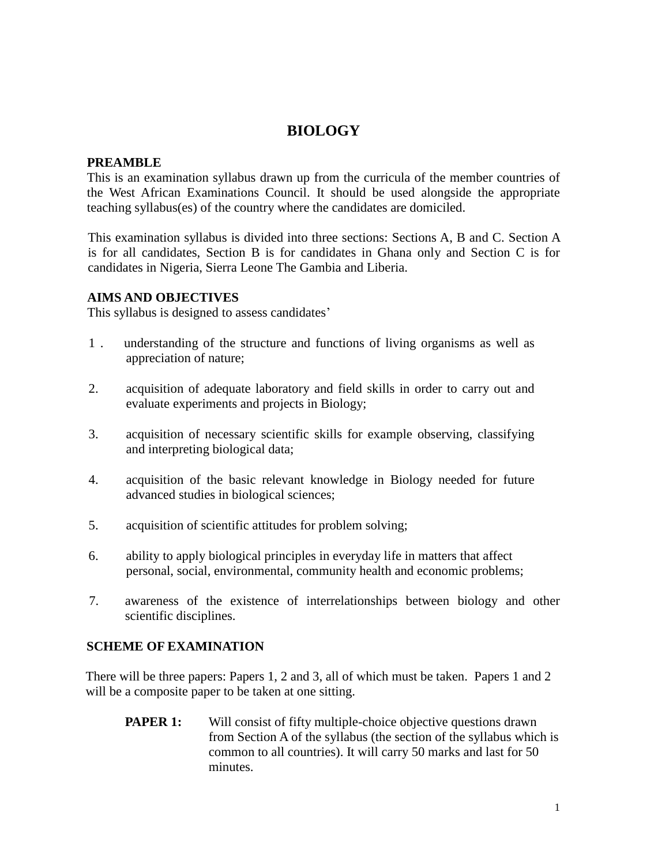# **BIOLOGY**

#### **PREAMBLE**

This is an examination syllabus drawn up from the curricula of the member countries of the West African Examinations Council. It should be used alongside the appropriate teaching syllabus(es) of the country where the candidates are domiciled.

This examination syllabus is divided into three sections: Sections A, B and C. Section A is for all candidates, Section B is for candidates in Ghana only and Section C is for candidates in Nigeria, Sierra Leone The Gambia and Liberia.

#### **AIMS AND OBJECTIVES**

This syllabus is designed to assess candidates'

- 1 . understanding of the structure and functions of living organisms as well as appreciation of nature;
- 2. acquisition of adequate laboratory and field skills in order to carry out and evaluate experiments and projects in Biology;
- 3. acquisition of necessary scientific skills for example observing, classifying and interpreting biological data;
- 4. acquisition of the basic relevant knowledge in Biology needed for future advanced studies in biological sciences;
- 5. acquisition of scientific attitudes for problem solving;
- 6. ability to apply biological principles in everyday life in matters that affect personal, social, environmental, community health and economic problems;
- 7. awareness of the existence of interrelationships between biology and other scientific disciplines.

#### **SCHEME OF EXAMINATION**

There will be three papers: Papers 1, 2 and 3, all of which must be taken. Papers 1 and 2 will be a composite paper to be taken at one sitting.

**PAPER 1:** Will consist of fifty multiple-choice objective questions drawn from Section A of the syllabus (the section of the syllabus which is common to all countries). It will carry 50 marks and last for 50 minutes.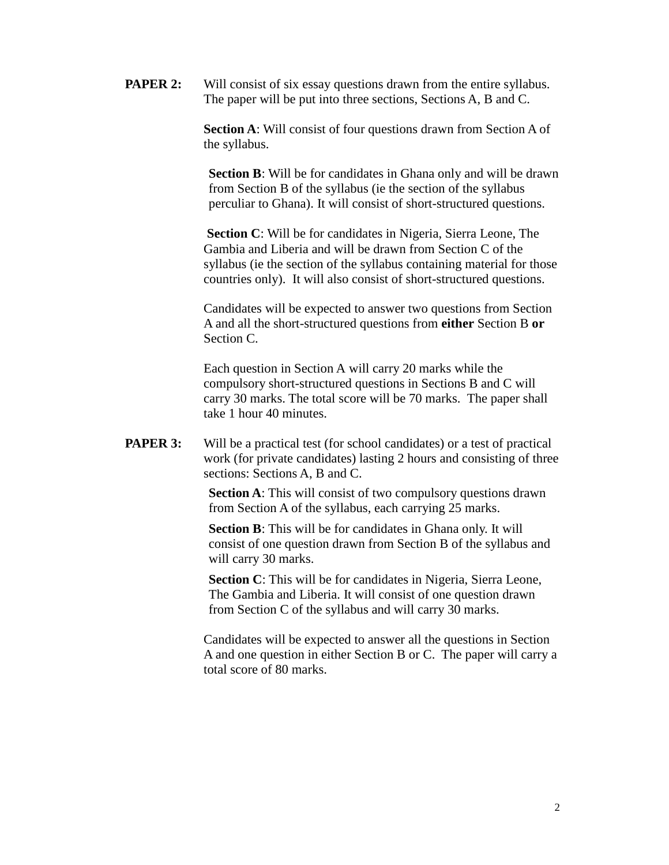**PAPER 2:** Will consist of six essay questions drawn from the entire syllabus. The paper will be put into three sections, Sections A, B and C.

> **Section A**: Will consist of four questions drawn from Section A of the syllabus.

**Section B**: Will be for candidates in Ghana only and will be drawn from Section B of the syllabus (ie the section of the syllabus perculiar to Ghana). It will consist of short-structured questions.

 **Section C**: Will be for candidates in Nigeria, Sierra Leone, The Gambia and Liberia and will be drawn from Section C of the syllabus (ie the section of the syllabus containing material for those countries only). It will also consist of short-structured questions.

Candidates will be expected to answer two questions from Section A and all the short-structured questions from **either** Section B **or** Section C.

Each question in Section A will carry 20 marks while the compulsory short-structured questions in Sections B and C will carry 30 marks. The total score will be 70 marks. The paper shall take 1 hour 40 minutes.

**PAPER 3:** Will be a practical test (for school candidates) or a test of practical work (for private candidates) lasting 2 hours and consisting of three sections: Sections A, B and C.

> **Section A**: This will consist of two compulsory questions drawn from Section A of the syllabus, each carrying 25 marks.

**Section B**: This will be for candidates in Ghana only. It will consist of one question drawn from Section B of the syllabus and will carry 30 marks.

**Section C**: This will be for candidates in Nigeria, Sierra Leone, The Gambia and Liberia. It will consist of one question drawn from Section C of the syllabus and will carry 30 marks.

Candidates will be expected to answer all the questions in Section A and one question in either Section B or C. The paper will carry a total score of 80 marks.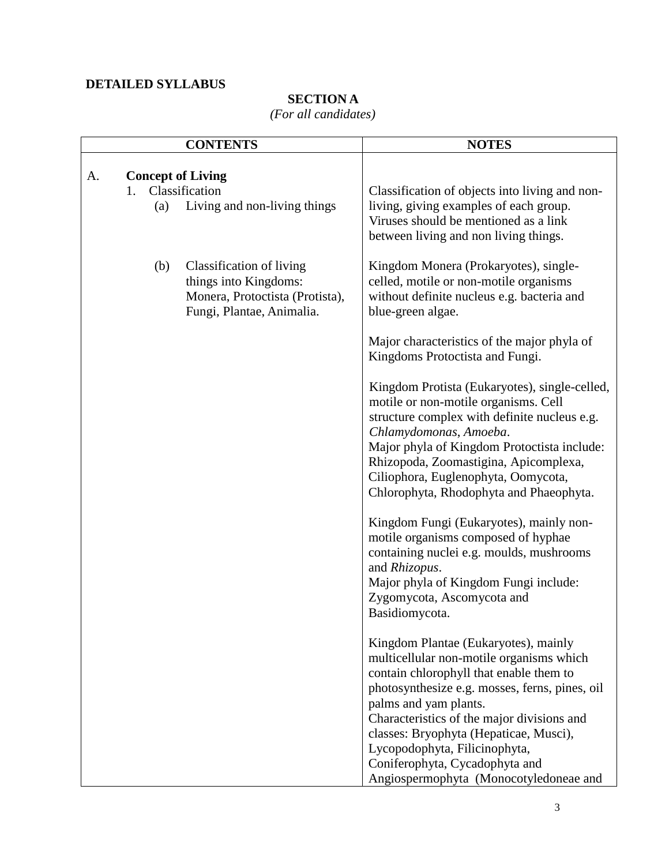### **DETAILED SYLLABUS**

# **SECTION A**

### *(For all candidates)*

|    |                                     | <b>CONTENTS</b>                                                                                                   | <b>NOTES</b>                                                                                                                                                                                                                                                                                                                                                                                                |
|----|-------------------------------------|-------------------------------------------------------------------------------------------------------------------|-------------------------------------------------------------------------------------------------------------------------------------------------------------------------------------------------------------------------------------------------------------------------------------------------------------------------------------------------------------------------------------------------------------|
| A. | <b>Concept of Living</b><br>$1_{-}$ | Classification                                                                                                    | Classification of objects into living and non-                                                                                                                                                                                                                                                                                                                                                              |
|    | (a)                                 | Living and non-living things                                                                                      | living, giving examples of each group.<br>Viruses should be mentioned as a link<br>between living and non living things.                                                                                                                                                                                                                                                                                    |
|    | (b)                                 | Classification of living<br>things into Kingdoms:<br>Monera, Protoctista (Protista),<br>Fungi, Plantae, Animalia. | Kingdom Monera (Prokaryotes), single-<br>celled, motile or non-motile organisms<br>without definite nucleus e.g. bacteria and<br>blue-green algae.                                                                                                                                                                                                                                                          |
|    |                                     |                                                                                                                   | Major characteristics of the major phyla of<br>Kingdoms Protoctista and Fungi.                                                                                                                                                                                                                                                                                                                              |
|    |                                     |                                                                                                                   | Kingdom Protista (Eukaryotes), single-celled,<br>motile or non-motile organisms. Cell<br>structure complex with definite nucleus e.g.<br>Chlamydomonas, Amoeba.<br>Major phyla of Kingdom Protoctista include:<br>Rhizopoda, Zoomastigina, Apicomplexa,<br>Ciliophora, Euglenophyta, Oomycota,<br>Chlorophyta, Rhodophyta and Phaeophyta.                                                                   |
|    |                                     |                                                                                                                   | Kingdom Fungi (Eukaryotes), mainly non-<br>motile organisms composed of hyphae<br>containing nuclei e.g. moulds, mushrooms<br>and Rhizopus.<br>Major phyla of Kingdom Fungi include:<br>Zygomycota, Ascomycota and<br>Basidiomycota.                                                                                                                                                                        |
|    |                                     |                                                                                                                   | Kingdom Plantae (Eukaryotes), mainly<br>multicellular non-motile organisms which<br>contain chlorophyll that enable them to<br>photosynthesize e.g. mosses, ferns, pines, oil<br>palms and yam plants.<br>Characteristics of the major divisions and<br>classes: Bryophyta (Hepaticae, Musci),<br>Lycopodophyta, Filicinophyta,<br>Coniferophyta, Cycadophyta and<br>Angiospermophyta (Monocotyledoneae and |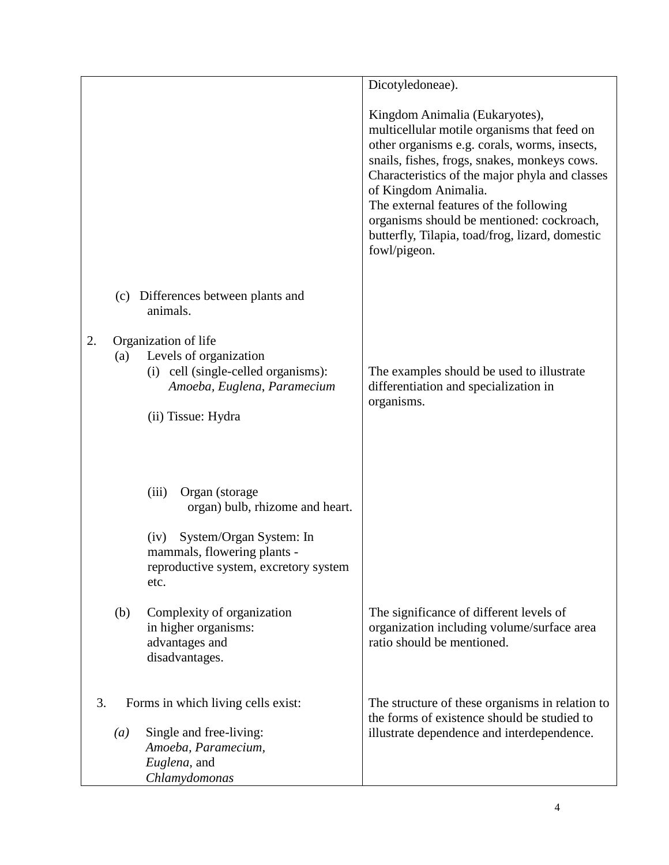|    |                  |                                                                                                                              | Dicotyledoneae).                                                                                                                                                                                                                                                                                                                                                                                                  |
|----|------------------|------------------------------------------------------------------------------------------------------------------------------|-------------------------------------------------------------------------------------------------------------------------------------------------------------------------------------------------------------------------------------------------------------------------------------------------------------------------------------------------------------------------------------------------------------------|
|    |                  |                                                                                                                              | Kingdom Animalia (Eukaryotes),<br>multicellular motile organisms that feed on<br>other organisms e.g. corals, worms, insects,<br>snails, fishes, frogs, snakes, monkeys cows.<br>Characteristics of the major phyla and classes<br>of Kingdom Animalia.<br>The external features of the following<br>organisms should be mentioned: cockroach,<br>butterfly, Tilapia, toad/frog, lizard, domestic<br>fowl/pigeon. |
|    | (c)              | Differences between plants and<br>animals.                                                                                   |                                                                                                                                                                                                                                                                                                                                                                                                                   |
| 2. |                  | Organization of life                                                                                                         |                                                                                                                                                                                                                                                                                                                                                                                                                   |
|    | (a)              | Levels of organization<br>(i) cell (single-celled organisms):                                                                | The examples should be used to illustrate                                                                                                                                                                                                                                                                                                                                                                         |
|    |                  | Amoeba, Euglena, Paramecium                                                                                                  | differentiation and specialization in<br>organisms.                                                                                                                                                                                                                                                                                                                                                               |
|    |                  | (ii) Tissue: Hydra                                                                                                           |                                                                                                                                                                                                                                                                                                                                                                                                                   |
|    |                  | Organ (storage<br>(iii)<br>organ) bulb, rhizome and heart.<br>System/Organ System: In<br>(iv)<br>mammals, flowering plants - |                                                                                                                                                                                                                                                                                                                                                                                                                   |
|    |                  | reproductive system, excretory system<br>etc.                                                                                |                                                                                                                                                                                                                                                                                                                                                                                                                   |
|    | (b)              | Complexity of organization<br>in higher organisms:<br>advantages and<br>disadvantages.                                       | The significance of different levels of<br>organization including volume/surface area<br>ratio should be mentioned.                                                                                                                                                                                                                                                                                               |
| 3. |                  | Forms in which living cells exist:                                                                                           | The structure of these organisms in relation to<br>the forms of existence should be studied to                                                                                                                                                                                                                                                                                                                    |
|    | $\left(a\right)$ | Single and free-living:<br>Amoeba, Paramecium,<br>Euglena, and<br>Chlamydomonas                                              | illustrate dependence and interdependence.                                                                                                                                                                                                                                                                                                                                                                        |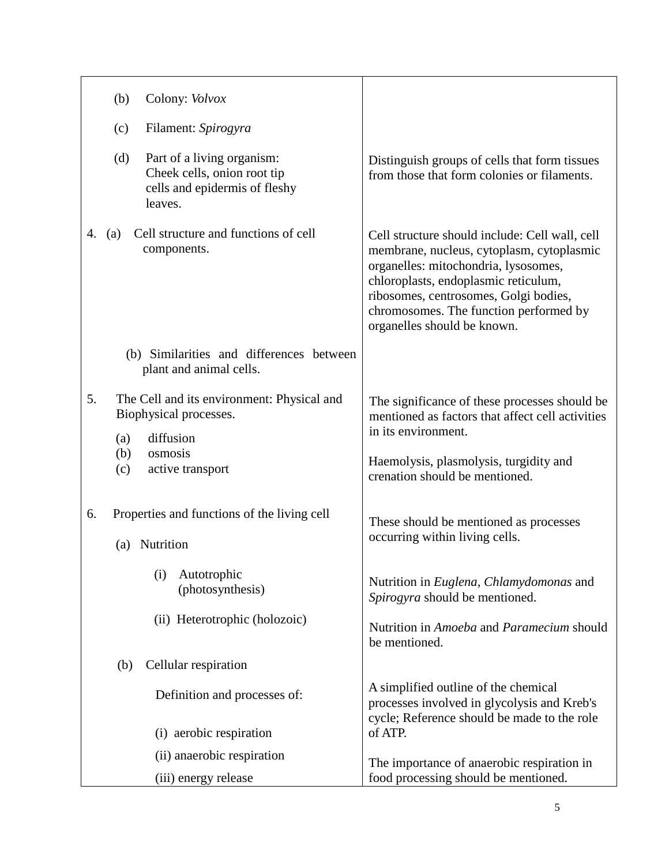| (b)<br>Colony: <i>Volvox</i>                                                                                 |                                                                                                                                                                                                                                                                                               |
|--------------------------------------------------------------------------------------------------------------|-----------------------------------------------------------------------------------------------------------------------------------------------------------------------------------------------------------------------------------------------------------------------------------------------|
| (c)<br>Filament: Spirogyra                                                                                   |                                                                                                                                                                                                                                                                                               |
| (d)<br>Part of a living organism:<br>Cheek cells, onion root tip<br>cells and epidermis of fleshy<br>leaves. | Distinguish groups of cells that form tissues<br>from those that form colonies or filaments.                                                                                                                                                                                                  |
| Cell structure and functions of cell<br>(a)<br>4.<br>components.                                             | Cell structure should include: Cell wall, cell<br>membrane, nucleus, cytoplasm, cytoplasmic<br>organelles: mitochondria, lysosomes,<br>chloroplasts, endoplasmic reticulum,<br>ribosomes, centrosomes, Golgi bodies,<br>chromosomes. The function performed by<br>organelles should be known. |
| (b) Similarities and differences between<br>plant and animal cells.                                          |                                                                                                                                                                                                                                                                                               |
| 5.<br>The Cell and its environment: Physical and<br>Biophysical processes.                                   | The significance of these processes should be<br>mentioned as factors that affect cell activities<br>in its environment.                                                                                                                                                                      |
| diffusion<br>(a)<br>osmosis<br>(b)<br>active transport<br>(c)                                                | Haemolysis, plasmolysis, turgidity and<br>crenation should be mentioned.                                                                                                                                                                                                                      |
| Properties and functions of the living cell<br>6.<br>(a) Nutrition                                           | These should be mentioned as processes<br>occurring within living cells.                                                                                                                                                                                                                      |
| Autotrophic<br>(i)<br>(photosynthesis)                                                                       | Nutrition in Euglena, Chlamydomonas and<br>Spirogyra should be mentioned.                                                                                                                                                                                                                     |
| (ii) Heterotrophic (holozoic)                                                                                | Nutrition in Amoeba and Paramecium should<br>be mentioned.                                                                                                                                                                                                                                    |
| Cellular respiration<br>(b)                                                                                  |                                                                                                                                                                                                                                                                                               |
| Definition and processes of:                                                                                 | A simplified outline of the chemical<br>processes involved in glycolysis and Kreb's<br>cycle; Reference should be made to the role                                                                                                                                                            |
| (i) aerobic respiration                                                                                      | of ATP.                                                                                                                                                                                                                                                                                       |
| (ii) anaerobic respiration<br>(iii) energy release                                                           | The importance of anaerobic respiration in<br>food processing should be mentioned.                                                                                                                                                                                                            |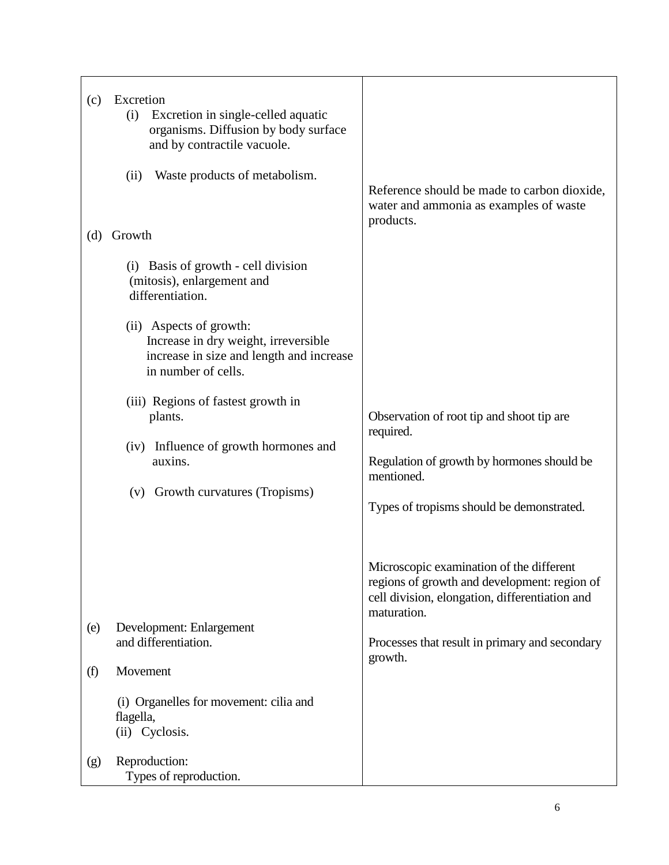| (c)        | Excretion<br>Excretion in single-celled aquatic<br>(i)<br>organisms. Diffusion by body surface<br>and by contractile vacuole.<br>Waste products of metabolism.<br>(ii)                                                                | Reference should be made to carbon dioxide,<br>water and ammonia as examples of waste                                                                                                                                  |
|------------|---------------------------------------------------------------------------------------------------------------------------------------------------------------------------------------------------------------------------------------|------------------------------------------------------------------------------------------------------------------------------------------------------------------------------------------------------------------------|
| (d)        | Growth<br>(i) Basis of growth - cell division<br>(mitosis), enlargement and<br>differentiation.<br>(ii) Aspects of growth:<br>Increase in dry weight, irreversible<br>increase in size and length and increase<br>in number of cells. | products.                                                                                                                                                                                                              |
|            | (iii) Regions of fastest growth in<br>plants.<br>(iv) Influence of growth hormones and<br>auxins.<br>(v) Growth curvatures (Tropisms)                                                                                                 | Observation of root tip and shoot tip are<br>required.<br>Regulation of growth by hormones should be<br>mentioned.<br>Types of tropisms should be demonstrated.                                                        |
| (e)<br>(f) | Development: Enlargement<br>and differentiation.<br>Movement<br>(i) Organelles for movement: cilia and<br>flagella,<br>(ii) Cyclosis.                                                                                                 | Microscopic examination of the different<br>regions of growth and development: region of<br>cell division, elongation, differentiation and<br>maturation.<br>Processes that result in primary and secondary<br>growth. |
| (g)        | Reproduction:<br>Types of reproduction.                                                                                                                                                                                               |                                                                                                                                                                                                                        |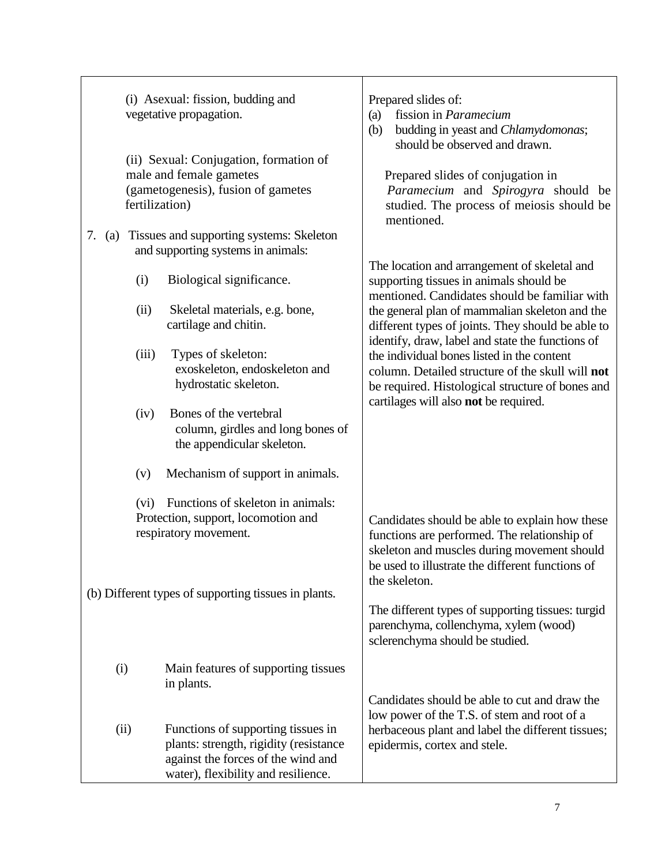| (i) Asexual: fission, budding and<br>vegetative propagation.<br>(ii) Sexual: Conjugation, formation of<br>male and female gametes |                                                                                                                                                           | Prepared slides of:<br>fission in <i>Paramecium</i><br>(a)<br>budding in yeast and Chlamydomonas;<br>(b)<br>should be observed and drawn.<br>Prepared slides of conjugation in                         |
|-----------------------------------------------------------------------------------------------------------------------------------|-----------------------------------------------------------------------------------------------------------------------------------------------------------|--------------------------------------------------------------------------------------------------------------------------------------------------------------------------------------------------------|
| fertilization)                                                                                                                    | (gametogenesis), fusion of gametes                                                                                                                        | Paramecium and Spirogyra should be<br>studied. The process of meiosis should be<br>mentioned.                                                                                                          |
| 7.<br>(a)                                                                                                                         | Tissues and supporting systems: Skeleton<br>and supporting systems in animals:                                                                            |                                                                                                                                                                                                        |
| (i)                                                                                                                               | Biological significance.                                                                                                                                  | The location and arrangement of skeletal and<br>supporting tissues in animals should be<br>mentioned. Candidates should be familiar with                                                               |
| (ii)                                                                                                                              | Skeletal materials, e.g. bone,<br>cartilage and chitin.                                                                                                   | the general plan of mammalian skeleton and the<br>different types of joints. They should be able to                                                                                                    |
| (iii)                                                                                                                             | Types of skeleton:<br>exoskeleton, endoskeleton and<br>hydrostatic skeleton.                                                                              | identify, draw, label and state the functions of<br>the individual bones listed in the content<br>column. Detailed structure of the skull will not<br>be required. Histological structure of bones and |
| (iv)                                                                                                                              | Bones of the vertebral<br>column, girdles and long bones of<br>the appendicular skeleton.                                                                 | cartilages will also not be required.                                                                                                                                                                  |
| (v)                                                                                                                               | Mechanism of support in animals.                                                                                                                          |                                                                                                                                                                                                        |
|                                                                                                                                   | (vi) Functions of skeleton in animals:<br>Protection, support, locomotion and<br>respiratory movement.                                                    | Candidates should be able to explain how these<br>functions are performed. The relationship of<br>skeleton and muscles during movement should                                                          |
| (b) Different types of supporting tissues in plants.                                                                              |                                                                                                                                                           | be used to illustrate the different functions of<br>the skeleton.                                                                                                                                      |
|                                                                                                                                   |                                                                                                                                                           | The different types of supporting tissues: turgid<br>parenchyma, collenchyma, xylem (wood)<br>sclerenchyma should be studied.                                                                          |
| (i)                                                                                                                               | Main features of supporting tissues<br>in plants.                                                                                                         |                                                                                                                                                                                                        |
| (ii)                                                                                                                              | Functions of supporting tissues in<br>plants: strength, rigidity (resistance<br>against the forces of the wind and<br>water), flexibility and resilience. | Candidates should be able to cut and draw the<br>low power of the T.S. of stem and root of a<br>herbaceous plant and label the different tissues;<br>epidermis, cortex and stele.                      |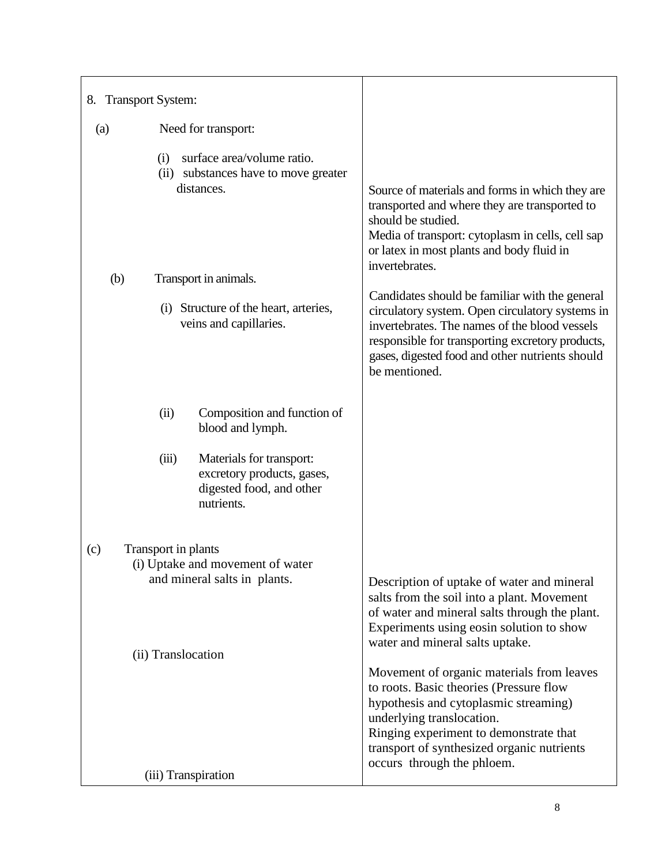| 8. Transport System: |                                                                                                                                                                                     |                                                                                                                                                                                                                                                                                                                                                                                                                                                                                                                         |
|----------------------|-------------------------------------------------------------------------------------------------------------------------------------------------------------------------------------|-------------------------------------------------------------------------------------------------------------------------------------------------------------------------------------------------------------------------------------------------------------------------------------------------------------------------------------------------------------------------------------------------------------------------------------------------------------------------------------------------------------------------|
| (a)                  | Need for transport:                                                                                                                                                                 |                                                                                                                                                                                                                                                                                                                                                                                                                                                                                                                         |
| (b)                  | surface area/volume ratio.<br>(i)<br>(ii) substances have to move greater<br>distances.<br>Transport in animals.<br>(i) Structure of the heart, arteries,<br>veins and capillaries. | Source of materials and forms in which they are<br>transported and where they are transported to<br>should be studied.<br>Media of transport: cytoplasm in cells, cell sap<br>or latex in most plants and body fluid in<br>invertebrates.<br>Candidates should be familiar with the general<br>circulatory system. Open circulatory systems in<br>invertebrates. The names of the blood vessels<br>responsible for transporting excretory products,<br>gases, digested food and other nutrients should<br>be mentioned. |
|                      | Composition and function of<br>(ii)<br>blood and lymph.<br>(iii)<br>Materials for transport:<br>excretory products, gases,<br>digested food, and other<br>nutrients.                |                                                                                                                                                                                                                                                                                                                                                                                                                                                                                                                         |
| (c)                  | Transport in plants<br>(i) Uptake and movement of water<br>and mineral salts in plants.<br>(ii) Translocation                                                                       | Description of uptake of water and mineral<br>salts from the soil into a plant. Movement<br>of water and mineral salts through the plant.<br>Experiments using eosin solution to show<br>water and mineral salts uptake.                                                                                                                                                                                                                                                                                                |
|                      | (iii) Transpiration                                                                                                                                                                 | Movement of organic materials from leaves<br>to roots. Basic theories (Pressure flow<br>hypothesis and cytoplasmic streaming)<br>underlying translocation.<br>Ringing experiment to demonstrate that<br>transport of synthesized organic nutrients<br>occurs through the phloem.                                                                                                                                                                                                                                        |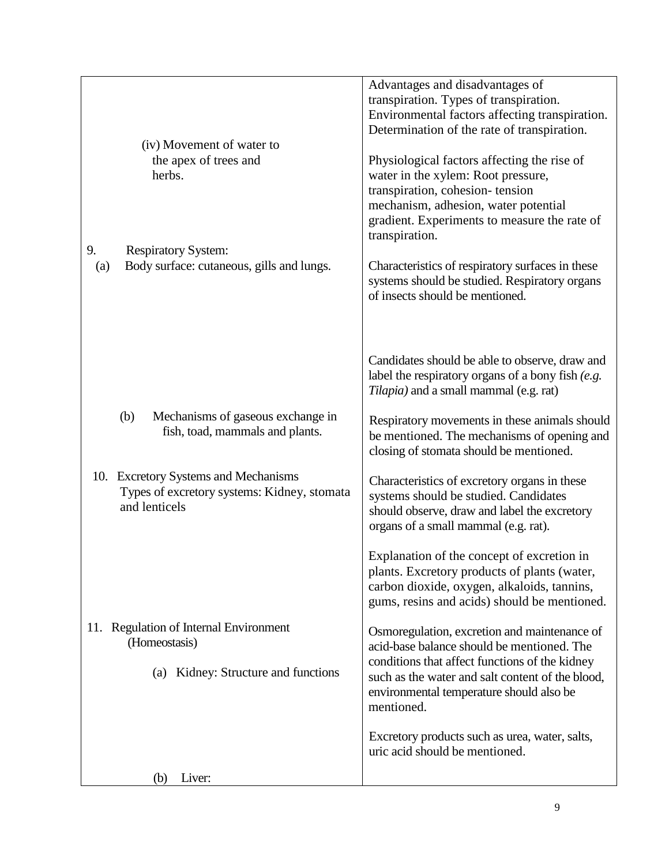|                                                                                                             | Advantages and disadvantages of<br>transpiration. Types of transpiration.<br>Environmental factors affecting transpiration.<br>Determination of the rate of transpiration.                                                                                 |
|-------------------------------------------------------------------------------------------------------------|------------------------------------------------------------------------------------------------------------------------------------------------------------------------------------------------------------------------------------------------------------|
| (iv) Movement of water to<br>the apex of trees and<br>herbs.                                                | Physiological factors affecting the rise of<br>water in the xylem: Root pressure,<br>transpiration, cohesion-tension<br>mechanism, adhesion, water potential<br>gradient. Experiments to measure the rate of<br>transpiration.                             |
| 9.<br><b>Respiratory System:</b><br>Body surface: cutaneous, gills and lungs.<br>(a)                        | Characteristics of respiratory surfaces in these<br>systems should be studied. Respiratory organs<br>of insects should be mentioned.                                                                                                                       |
|                                                                                                             | Candidates should be able to observe, draw and<br>label the respiratory organs of a bony fish (e.g.<br>Tilapia) and a small mammal (e.g. rat)                                                                                                              |
| (b)<br>Mechanisms of gaseous exchange in<br>fish, toad, mammals and plants.                                 | Respiratory movements in these animals should<br>be mentioned. The mechanisms of opening and<br>closing of stomata should be mentioned.                                                                                                                    |
| 10. Excretory Systems and Mechanisms<br>Types of excretory systems: Kidney, stomata<br>and lenticels        | Characteristics of excretory organs in these<br>systems should be studied. Candidates<br>should observe, draw and label the excretory<br>organs of a small mammal (e.g. rat).                                                                              |
|                                                                                                             | Explanation of the concept of excretion in<br>plants. Excretory products of plants (water,<br>carbon dioxide, oxygen, alkaloids, tannins,<br>gums, resins and acids) should be mentioned.                                                                  |
| <b>Regulation of Internal Environment</b><br>11.<br>(Homeostasis)<br>Kidney: Structure and functions<br>(a) | Osmoregulation, excretion and maintenance of<br>acid-base balance should be mentioned. The<br>conditions that affect functions of the kidney<br>such as the water and salt content of the blood,<br>environmental temperature should also be<br>mentioned. |
|                                                                                                             | Excretory products such as urea, water, salts,<br>uric acid should be mentioned.                                                                                                                                                                           |
| Liver:<br>(b)                                                                                               |                                                                                                                                                                                                                                                            |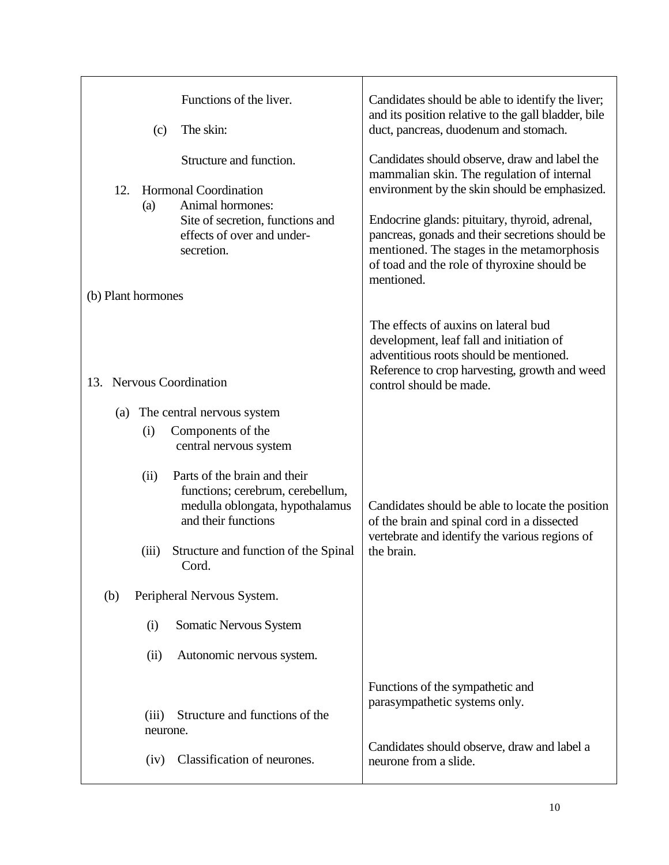|                    |                   | Functions of the liver.                                                                                                    | Candidates should be able to identify the liver;<br>and its position relative to the gall bladder, bile                                                                                                      |
|--------------------|-------------------|----------------------------------------------------------------------------------------------------------------------------|--------------------------------------------------------------------------------------------------------------------------------------------------------------------------------------------------------------|
|                    | (c)               | The skin:                                                                                                                  | duct, pancreas, duodenum and stomach.                                                                                                                                                                        |
|                    |                   | Structure and function.                                                                                                    | Candidates should observe, draw and label the<br>mammalian skin. The regulation of internal                                                                                                                  |
| 12.                | (a)               | <b>Hormonal Coordination</b><br>Animal hormones:                                                                           | environment by the skin should be emphasized.                                                                                                                                                                |
|                    |                   | Site of secretion, functions and<br>effects of over and under-<br>secretion.                                               | Endocrine glands: pituitary, thyroid, adrenal,<br>pancreas, gonads and their secretions should be<br>mentioned. The stages in the metamorphosis<br>of toad and the role of thyroxine should be<br>mentioned. |
| (b) Plant hormones |                   |                                                                                                                            |                                                                                                                                                                                                              |
|                    |                   |                                                                                                                            | The effects of auxins on lateral bud<br>development, leaf fall and initiation of<br>adventitious roots should be mentioned.<br>Reference to crop harvesting, growth and weed                                 |
| 13.                |                   | <b>Nervous Coordination</b>                                                                                                | control should be made.                                                                                                                                                                                      |
| (a)                |                   | The central nervous system                                                                                                 |                                                                                                                                                                                                              |
|                    | (i)               | Components of the<br>central nervous system                                                                                |                                                                                                                                                                                                              |
|                    | (ii)              | Parts of the brain and their<br>functions; cerebrum, cerebellum,<br>medulla oblongata, hypothalamus<br>and their functions | Candidates should be able to locate the position<br>of the brain and spinal cord in a dissected                                                                                                              |
|                    | (iii)             | Structure and function of the Spinal<br>Cord.                                                                              | vertebrate and identify the various regions of<br>the brain.                                                                                                                                                 |
| (b)                |                   | Peripheral Nervous System.                                                                                                 |                                                                                                                                                                                                              |
|                    | (i)               | Somatic Nervous System                                                                                                     |                                                                                                                                                                                                              |
|                    | (ii)              | Autonomic nervous system.                                                                                                  |                                                                                                                                                                                                              |
|                    |                   |                                                                                                                            | Functions of the sympathetic and                                                                                                                                                                             |
|                    | (iii)<br>neurone. | Structure and functions of the                                                                                             | parasympathetic systems only.                                                                                                                                                                                |
|                    | (iv)              | Classification of neurones.                                                                                                | Candidates should observe, draw and label a<br>neurone from a slide.                                                                                                                                         |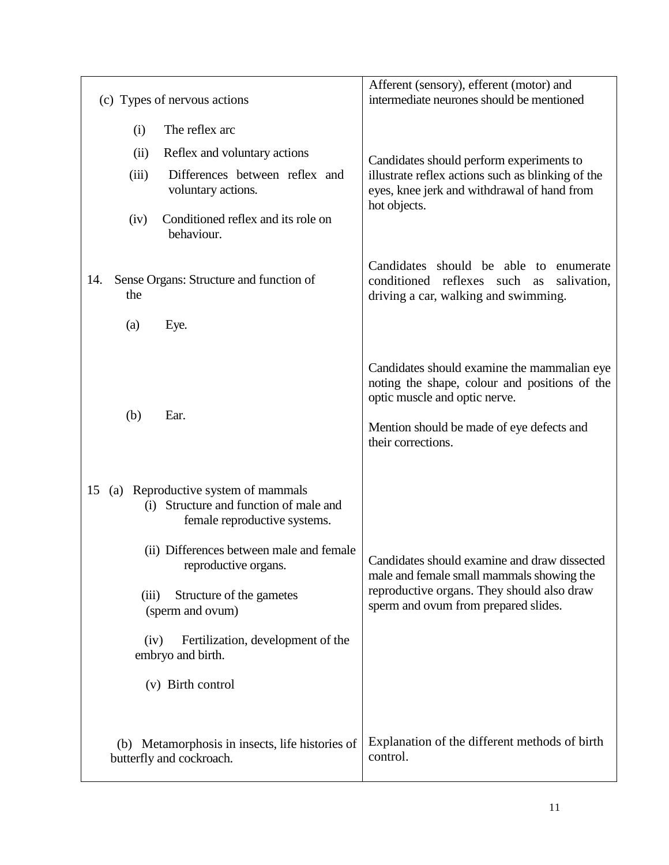| (c) Types of nervous actions                                                                                                                                                                                                                                                                                                              | Afferent (sensory), efferent (motor) and<br>intermediate neurones should be mentioned                                                                                                            |
|-------------------------------------------------------------------------------------------------------------------------------------------------------------------------------------------------------------------------------------------------------------------------------------------------------------------------------------------|--------------------------------------------------------------------------------------------------------------------------------------------------------------------------------------------------|
| The reflex arc<br>(i)                                                                                                                                                                                                                                                                                                                     |                                                                                                                                                                                                  |
| Reflex and voluntary actions<br>(ii)                                                                                                                                                                                                                                                                                                      | Candidates should perform experiments to                                                                                                                                                         |
| (iii)<br>Differences between reflex and<br>voluntary actions.                                                                                                                                                                                                                                                                             | illustrate reflex actions such as blinking of the<br>eyes, knee jerk and withdrawal of hand from<br>hot objects.                                                                                 |
| Conditioned reflex and its role on<br>(iv)<br>behaviour.                                                                                                                                                                                                                                                                                  |                                                                                                                                                                                                  |
| Sense Organs: Structure and function of<br>14.<br>the                                                                                                                                                                                                                                                                                     | Candidates should be able to enumerate<br>conditioned reflexes such<br>salivation,<br>as<br>driving a car, walking and swimming.                                                                 |
| Eye.<br>(a)                                                                                                                                                                                                                                                                                                                               |                                                                                                                                                                                                  |
| (b)<br>Ear.                                                                                                                                                                                                                                                                                                                               | Candidates should examine the mammalian eye<br>noting the shape, colour and positions of the<br>optic muscle and optic nerve.<br>Mention should be made of eye defects and<br>their corrections. |
| (a) Reproductive system of mammals<br>15<br>Structure and function of male and<br>(i)<br>female reproductive systems.<br>(ii) Differences between male and female<br>reproductive organs.<br>Structure of the gametes<br>(iii)<br>(sperm and ovum)<br>Fertilization, development of the<br>(iv)<br>embryo and birth.<br>(v) Birth control | Candidates should examine and draw dissected<br>male and female small mammals showing the<br>reproductive organs. They should also draw<br>sperm and ovum from prepared slides.                  |
| (b) Metamorphosis in insects, life histories of<br>butterfly and cockroach.                                                                                                                                                                                                                                                               | Explanation of the different methods of birth<br>control.                                                                                                                                        |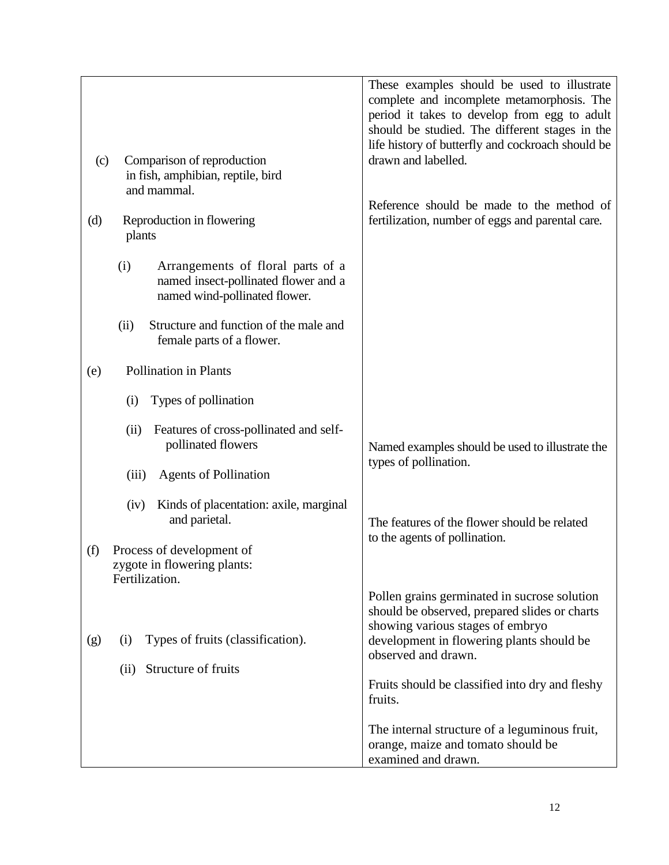|                                                                                                                   | These examples should be used to illustrate<br>complete and incomplete metamorphosis. The<br>period it takes to develop from egg to adult                                                             |
|-------------------------------------------------------------------------------------------------------------------|-------------------------------------------------------------------------------------------------------------------------------------------------------------------------------------------------------|
| Comparison of reproduction<br>(c)<br>in fish, amphibian, reptile, bird<br>and mammal.                             | should be studied. The different stages in the<br>life history of butterfly and cockroach should be<br>drawn and labelled.<br>Reference should be made to the method of                               |
| Reproduction in flowering<br>(d)<br>plants                                                                        | fertilization, number of eggs and parental care.                                                                                                                                                      |
| Arrangements of floral parts of a<br>(i)<br>named insect-pollinated flower and a<br>named wind-pollinated flower. |                                                                                                                                                                                                       |
| Structure and function of the male and<br>(ii)<br>female parts of a flower.                                       |                                                                                                                                                                                                       |
| <b>Pollination in Plants</b><br>(e)                                                                               |                                                                                                                                                                                                       |
| Types of pollination<br>(i)                                                                                       |                                                                                                                                                                                                       |
| Features of cross-pollinated and self-<br>(ii)<br>pollinated flowers                                              | Named examples should be used to illustrate the                                                                                                                                                       |
| <b>Agents of Pollination</b><br>(iii)                                                                             | types of pollination.                                                                                                                                                                                 |
| Kinds of placentation: axile, marginal<br>(iv)<br>and parietal.                                                   | The features of the flower should be related<br>to the agents of pollination.                                                                                                                         |
| Process of development of<br>(f)<br>zygote in flowering plants:<br>Fertilization.                                 |                                                                                                                                                                                                       |
| Types of fruits (classification).<br>(g)<br>(i)                                                                   | Pollen grains germinated in sucrose solution<br>should be observed, prepared slides or charts<br>showing various stages of embryo<br>development in flowering plants should be<br>observed and drawn. |
| Structure of fruits<br>(ii)                                                                                       | Fruits should be classified into dry and fleshy<br>fruits.                                                                                                                                            |
|                                                                                                                   | The internal structure of a leguminous fruit,<br>orange, maize and tomato should be<br>examined and drawn.                                                                                            |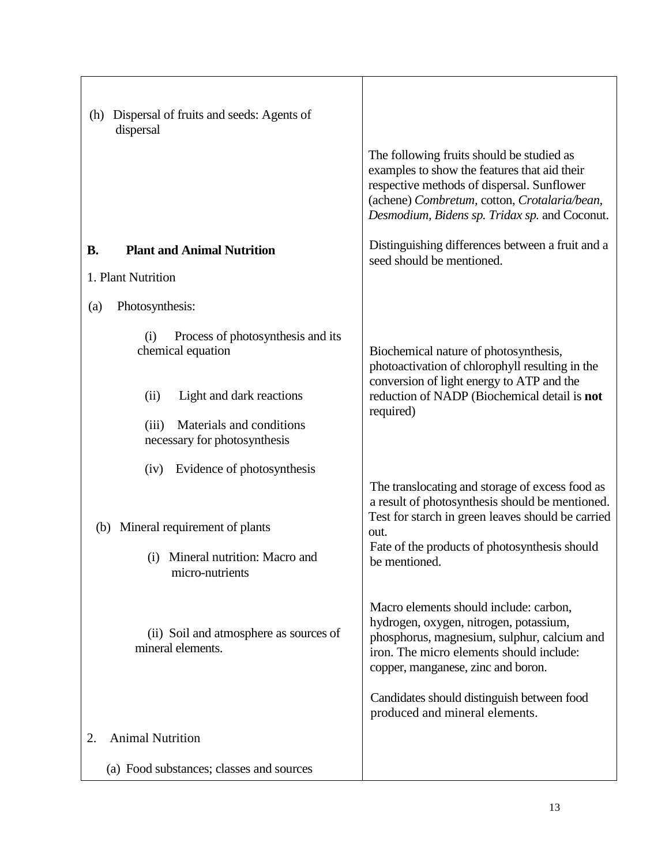| Dispersal of fruits and seeds: Agents of<br>(h)<br>dispersal                                   |                                                                                                                                                                                                                                          |
|------------------------------------------------------------------------------------------------|------------------------------------------------------------------------------------------------------------------------------------------------------------------------------------------------------------------------------------------|
|                                                                                                | The following fruits should be studied as<br>examples to show the features that aid their<br>respective methods of dispersal. Sunflower<br>(achene) Combretum, cotton, Crotalaria/bean,<br>Desmodium, Bidens sp. Tridax sp. and Coconut. |
| <b>Plant and Animal Nutrition</b><br><b>B.</b>                                                 | Distinguishing differences between a fruit and a<br>seed should be mentioned.                                                                                                                                                            |
| 1. Plant Nutrition                                                                             |                                                                                                                                                                                                                                          |
| Photosynthesis:<br>(a)                                                                         |                                                                                                                                                                                                                                          |
| Process of photosynthesis and its<br>(i)<br>chemical equation                                  | Biochemical nature of photosynthesis,<br>photoactivation of chlorophyll resulting in the                                                                                                                                                 |
| Light and dark reactions<br>(ii)                                                               | conversion of light energy to ATP and the<br>reduction of NADP (Biochemical detail is not                                                                                                                                                |
| Materials and conditions<br>(iii)<br>necessary for photosynthesis                              | required)                                                                                                                                                                                                                                |
| Evidence of photosynthesis<br>(iv)                                                             |                                                                                                                                                                                                                                          |
| Mineral requirement of plants<br>(b)<br>Mineral nutrition: Macro and<br>(i)<br>micro-nutrients | The translocating and storage of excess food as<br>a result of photosynthesis should be mentioned.<br>Test for starch in green leaves should be carried<br>out.<br>Fate of the products of photosynthesis should<br>be mentioned.        |
| (ii) Soil and atmosphere as sources of<br>mineral elements.                                    | Macro elements should include: carbon,<br>hydrogen, oxygen, nitrogen, potassium,<br>phosphorus, magnesium, sulphur, calcium and<br>iron. The micro elements should include:<br>copper, manganese, zinc and boron.                        |
|                                                                                                | Candidates should distinguish between food<br>produced and mineral elements.                                                                                                                                                             |
| <b>Animal Nutrition</b><br>2.                                                                  |                                                                                                                                                                                                                                          |
| (a) Food substances; classes and sources                                                       |                                                                                                                                                                                                                                          |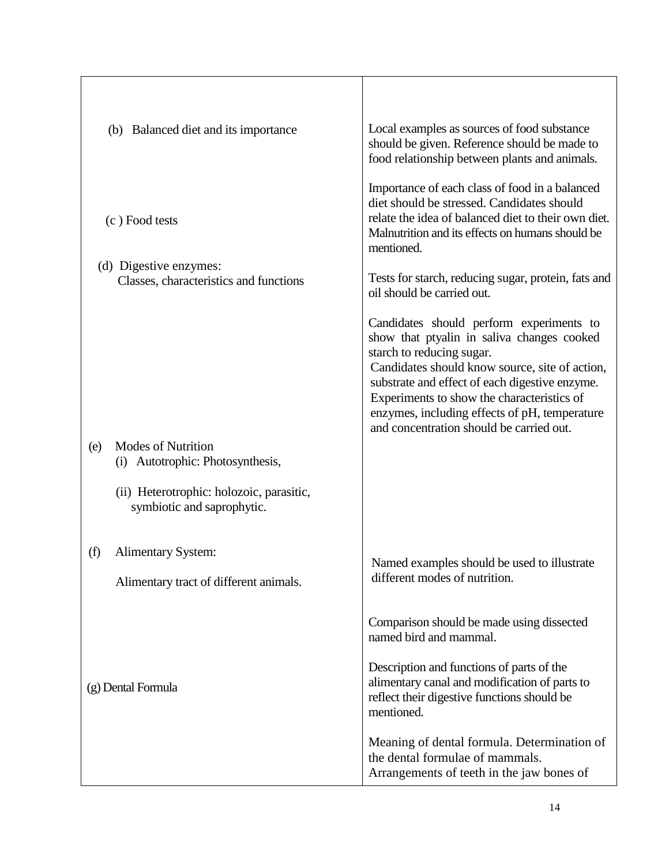| (b) Balanced diet and its importance                                       | Local examples as sources of food substance<br>should be given. Reference should be made to<br>food relationship between plants and animals.                                                                                                                                                                                                                       |
|----------------------------------------------------------------------------|--------------------------------------------------------------------------------------------------------------------------------------------------------------------------------------------------------------------------------------------------------------------------------------------------------------------------------------------------------------------|
| (c) Food tests                                                             | Importance of each class of food in a balanced<br>diet should be stressed. Candidates should<br>relate the idea of balanced diet to their own diet.<br>Malnutrition and its effects on humans should be<br>mentioned.                                                                                                                                              |
| (d) Digestive enzymes:<br>Classes, characteristics and functions           | Tests for starch, reducing sugar, protein, fats and<br>oil should be carried out.                                                                                                                                                                                                                                                                                  |
|                                                                            | Candidates should perform experiments to<br>show that ptyalin in saliva changes cooked<br>starch to reducing sugar.<br>Candidates should know source, site of action,<br>substrate and effect of each digestive enzyme.<br>Experiments to show the characteristics of<br>enzymes, including effects of pH, temperature<br>and concentration should be carried out. |
| <b>Modes of Nutrition</b><br>(e)<br>(i) Autotrophic: Photosynthesis,       |                                                                                                                                                                                                                                                                                                                                                                    |
| (ii) Heterotrophic: holozoic, parasitic,<br>symbiotic and saprophytic.     |                                                                                                                                                                                                                                                                                                                                                                    |
| <b>Alimentary System:</b><br>(f)<br>Alimentary tract of different animals. | Named examples should be used to illustrate<br>different modes of nutrition.                                                                                                                                                                                                                                                                                       |
|                                                                            | Comparison should be made using dissected<br>named bird and mammal.                                                                                                                                                                                                                                                                                                |
| (g) Dental Formula                                                         | Description and functions of parts of the<br>alimentary canal and modification of parts to<br>reflect their digestive functions should be<br>mentioned.                                                                                                                                                                                                            |
|                                                                            | Meaning of dental formula. Determination of<br>the dental formulae of mammals.<br>Arrangements of teeth in the jaw bones of                                                                                                                                                                                                                                        |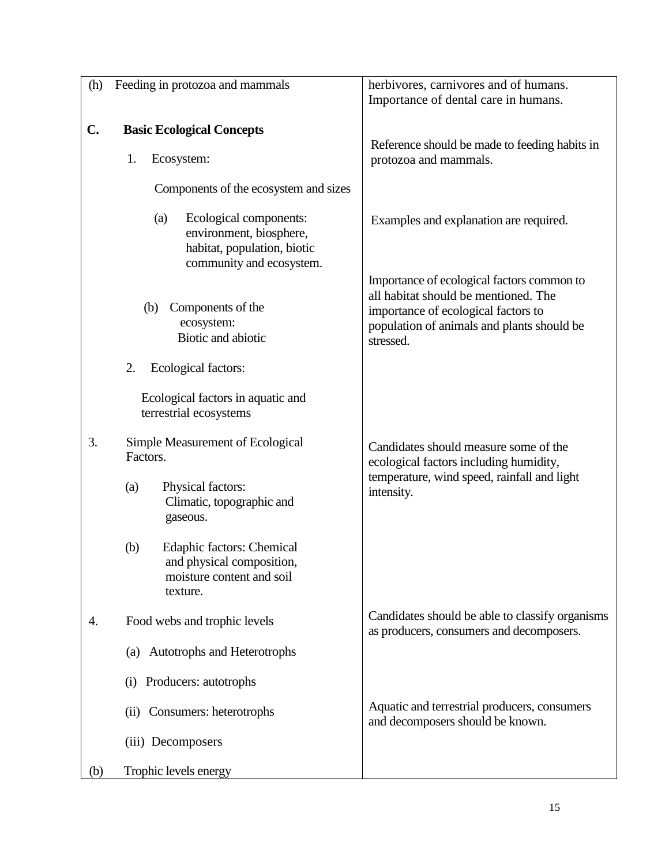| (h)            | Feeding in protozoa and mammals                                                                                     | herbivores, carnivores and of humans.<br>Importance of dental care in humans.                                                                                                        |
|----------------|---------------------------------------------------------------------------------------------------------------------|--------------------------------------------------------------------------------------------------------------------------------------------------------------------------------------|
| $\mathbf{C}$ . | <b>Basic Ecological Concepts</b><br>1.<br>Ecosystem:<br>Components of the ecosystem and sizes                       | Reference should be made to feeding habits in<br>protozoa and mammals.                                                                                                               |
|                | Ecological components:<br>(a)<br>environment, biosphere,<br>habitat, population, biotic<br>community and ecosystem. | Examples and explanation are required.                                                                                                                                               |
|                | Components of the<br>(b)<br>ecosystem:<br>Biotic and abiotic                                                        | Importance of ecological factors common to<br>all habitat should be mentioned. The<br>importance of ecological factors to<br>population of animals and plants should be<br>stressed. |
|                | 2.<br>Ecological factors:<br>Ecological factors in aquatic and<br>terrestrial ecosystems                            |                                                                                                                                                                                      |
| 3.             | Simple Measurement of Ecological<br>Factors.                                                                        | Candidates should measure some of the<br>ecological factors including humidity,                                                                                                      |
|                | Physical factors:<br>(a)<br>Climatic, topographic and<br>gaseous.                                                   | temperature, wind speed, rainfall and light<br>intensity.                                                                                                                            |
|                | (b)<br><b>Edaphic factors: Chemical</b><br>and physical composition.<br>moisture content and soil<br>texture.       |                                                                                                                                                                                      |
| 4.             | Food webs and trophic levels                                                                                        | Candidates should be able to classify organisms<br>as producers, consumers and decomposers.                                                                                          |
|                | (a) Autotrophs and Heterotrophs                                                                                     |                                                                                                                                                                                      |
|                | (i) Producers: autotrophs                                                                                           |                                                                                                                                                                                      |
|                | (ii) Consumers: heterotrophs                                                                                        | Aquatic and terrestrial producers, consumers<br>and decomposers should be known.                                                                                                     |
|                | (iii) Decomposers                                                                                                   |                                                                                                                                                                                      |
| (b)            | Trophic levels energy                                                                                               |                                                                                                                                                                                      |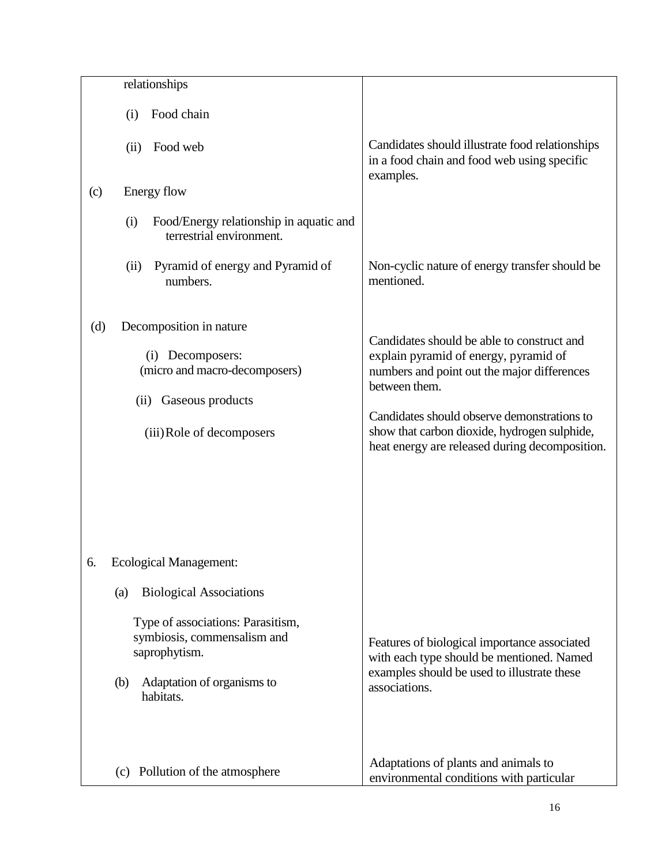|     | relationships                                                                                                                       |                                                                                                                                                                                                                                                                                                      |
|-----|-------------------------------------------------------------------------------------------------------------------------------------|------------------------------------------------------------------------------------------------------------------------------------------------------------------------------------------------------------------------------------------------------------------------------------------------------|
|     | Food chain<br>(i)                                                                                                                   |                                                                                                                                                                                                                                                                                                      |
|     | Food web<br>(ii)                                                                                                                    | Candidates should illustrate food relationships<br>in a food chain and food web using specific<br>examples.                                                                                                                                                                                          |
| (c) | Energy flow                                                                                                                         |                                                                                                                                                                                                                                                                                                      |
|     | Food/Energy relationship in aquatic and<br>(i)<br>terrestrial environment.                                                          |                                                                                                                                                                                                                                                                                                      |
|     | Pyramid of energy and Pyramid of<br>(ii)<br>numbers.                                                                                | Non-cyclic nature of energy transfer should be<br>mentioned.                                                                                                                                                                                                                                         |
| (d) | Decomposition in nature<br>(i) Decomposers:<br>(micro and macro-decomposers)<br>(ii) Gaseous products<br>(iii) Role of decomposers  | Candidates should be able to construct and<br>explain pyramid of energy, pyramid of<br>numbers and point out the major differences<br>between them.<br>Candidates should observe demonstrations to<br>show that carbon dioxide, hydrogen sulphide,<br>heat energy are released during decomposition. |
| 6.  | <b>Ecological Management:</b><br><b>Biological Associations</b><br>(a)                                                              |                                                                                                                                                                                                                                                                                                      |
|     | Type of associations: Parasitism,<br>symbiosis, commensalism and<br>saprophytism.<br>Adaptation of organisms to<br>(b)<br>habitats. | Features of biological importance associated<br>with each type should be mentioned. Named<br>examples should be used to illustrate these<br>associations.                                                                                                                                            |
|     | (c) Pollution of the atmosphere                                                                                                     | Adaptations of plants and animals to<br>environmental conditions with particular                                                                                                                                                                                                                     |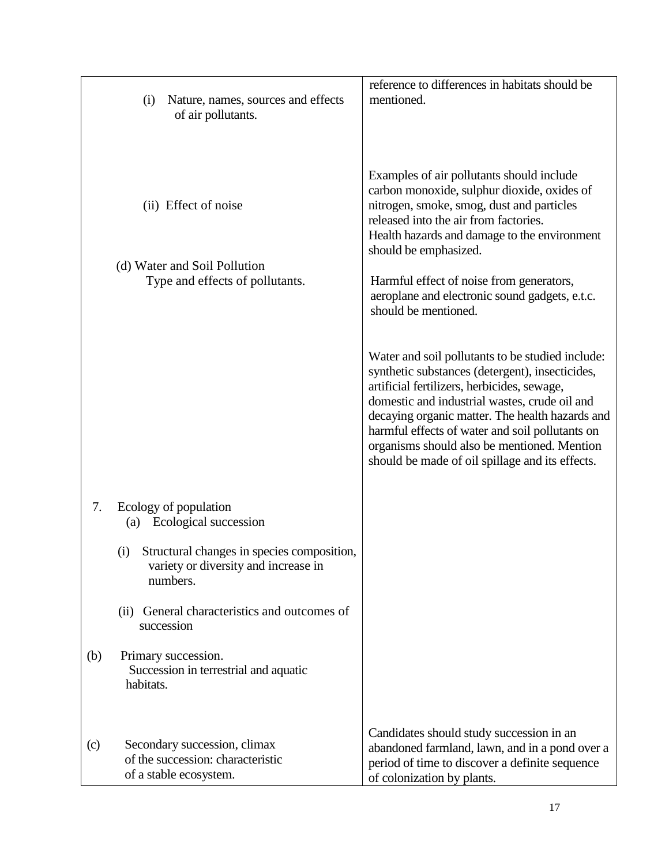|                   | Nature, names, sources and effects<br>(i)<br>of air pollutants.                                       | reference to differences in habitats should be<br>mentioned.                                                                                                                                                                                                                                                                                                                                                |
|-------------------|-------------------------------------------------------------------------------------------------------|-------------------------------------------------------------------------------------------------------------------------------------------------------------------------------------------------------------------------------------------------------------------------------------------------------------------------------------------------------------------------------------------------------------|
|                   | (ii) Effect of noise<br>(d) Water and Soil Pollution<br>Type and effects of pollutants.               | Examples of air pollutants should include<br>carbon monoxide, sulphur dioxide, oxides of<br>nitrogen, smoke, smog, dust and particles<br>released into the air from factories.<br>Health hazards and damage to the environment<br>should be emphasized.<br>Harmful effect of noise from generators,<br>aeroplane and electronic sound gadgets, e.t.c.<br>should be mentioned.                               |
|                   |                                                                                                       | Water and soil pollutants to be studied include:<br>synthetic substances (detergent), insecticides,<br>artificial fertilizers, herbicides, sewage,<br>domestic and industrial wastes, crude oil and<br>decaying organic matter. The health hazards and<br>harmful effects of water and soil pollutants on<br>organisms should also be mentioned. Mention<br>should be made of oil spillage and its effects. |
| 7.                | Ecology of population<br>Ecological succession<br>(a)                                                 |                                                                                                                                                                                                                                                                                                                                                                                                             |
|                   | Structural changes in species composition,<br>(i)<br>variety or diversity and increase in<br>numbers. |                                                                                                                                                                                                                                                                                                                                                                                                             |
|                   | General characteristics and outcomes of<br>(ii)<br>succession                                         |                                                                                                                                                                                                                                                                                                                                                                                                             |
| (b)               | Primary succession.<br>Succession in terrestrial and aquatic<br>habitats.                             |                                                                                                                                                                                                                                                                                                                                                                                                             |
| $\left( c\right)$ | Secondary succession, climax<br>of the succession: characteristic<br>of a stable ecosystem.           | Candidates should study succession in an<br>abandoned farmland, lawn, and in a pond over a<br>period of time to discover a definite sequence<br>of colonization by plants.                                                                                                                                                                                                                                  |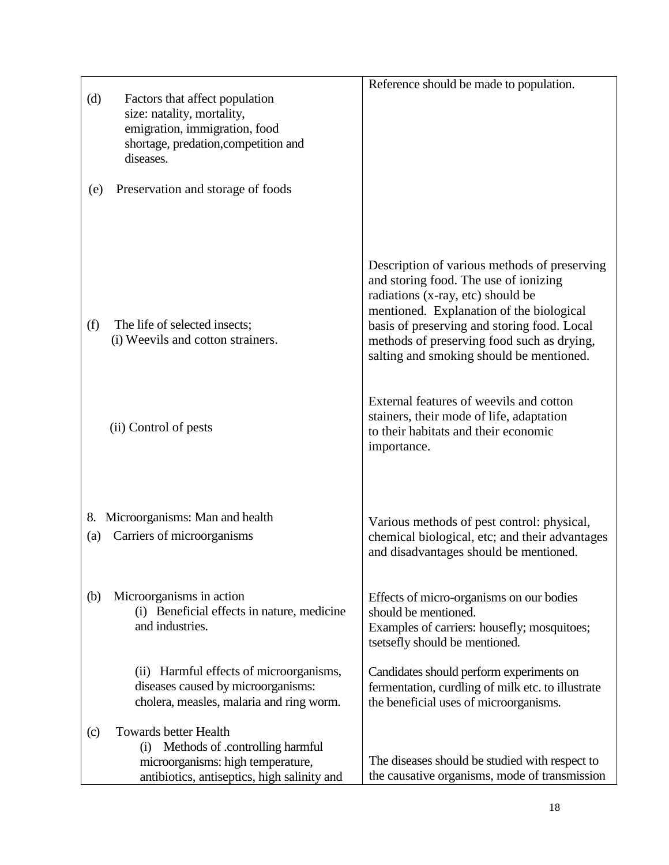| (d)               | Factors that affect population<br>size: natality, mortality,<br>emigration, immigration, food<br>shortage, predation, competition and<br>diseases.         | Reference should be made to population.                                                                                                                                                                                                                                                                         |
|-------------------|------------------------------------------------------------------------------------------------------------------------------------------------------------|-----------------------------------------------------------------------------------------------------------------------------------------------------------------------------------------------------------------------------------------------------------------------------------------------------------------|
| (e)               | Preservation and storage of foods                                                                                                                          |                                                                                                                                                                                                                                                                                                                 |
| (f)               | The life of selected insects;<br>(i) Weevils and cotton strainers.                                                                                         | Description of various methods of preserving<br>and storing food. The use of ionizing<br>radiations (x-ray, etc) should be<br>mentioned. Explanation of the biological<br>basis of preserving and storing food. Local<br>methods of preserving food such as drying,<br>salting and smoking should be mentioned. |
|                   | (ii) Control of pests                                                                                                                                      | External features of weevils and cotton<br>stainers, their mode of life, adaptation<br>to their habitats and their economic<br>importance.                                                                                                                                                                      |
| 8.<br>(a)         | Microorganisms: Man and health<br>Carriers of microorganisms                                                                                               | Various methods of pest control: physical,<br>chemical biological, etc; and their advantages<br>and disadvantages should be mentioned.                                                                                                                                                                          |
| (b)               | Microorganisms in action<br>(i) Beneficial effects in nature, medicine<br>and industries.                                                                  | Effects of micro-organisms on our bodies<br>should be mentioned.<br>Examples of carriers: housefly; mosquitoes;<br>tsetsefly should be mentioned.                                                                                                                                                               |
|                   | (ii) Harmful effects of microorganisms,<br>diseases caused by microorganisms:<br>cholera, measles, malaria and ring worm.                                  | Candidates should perform experiments on<br>fermentation, curdling of milk etc. to illustrate<br>the beneficial uses of microorganisms.                                                                                                                                                                         |
| $\left( c\right)$ | <b>Towards better Health</b><br>Methods of .controlling harmful<br>(i)<br>microorganisms: high temperature,<br>antibiotics, antiseptics, high salinity and | The diseases should be studied with respect to<br>the causative organisms, mode of transmission                                                                                                                                                                                                                 |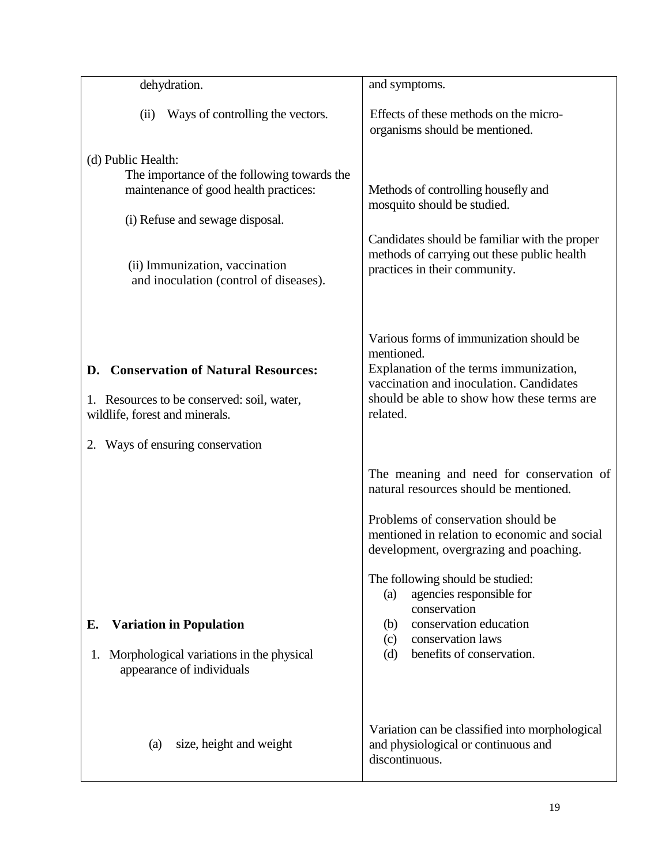| dehydration.                                                                                                                                                                                                              | and symptoms.                                                                                                                                                                                                                                                                                                                                                                                              |
|---------------------------------------------------------------------------------------------------------------------------------------------------------------------------------------------------------------------------|------------------------------------------------------------------------------------------------------------------------------------------------------------------------------------------------------------------------------------------------------------------------------------------------------------------------------------------------------------------------------------------------------------|
| Ways of controlling the vectors.<br>(ii)                                                                                                                                                                                  | Effects of these methods on the micro-<br>organisms should be mentioned.                                                                                                                                                                                                                                                                                                                                   |
| (d) Public Health:<br>The importance of the following towards the<br>maintenance of good health practices:<br>(i) Refuse and sewage disposal.<br>(ii) Immunization, vaccination<br>and inoculation (control of diseases). | Methods of controlling housefly and<br>mosquito should be studied.<br>Candidates should be familiar with the proper<br>methods of carrying out these public health<br>practices in their community.                                                                                                                                                                                                        |
| <b>Conservation of Natural Resources:</b><br>D.<br>1. Resources to be conserved: soil, water,<br>wildlife, forest and minerals.<br>Ways of ensuring conservation                                                          | Various forms of immunization should be<br>mentioned.<br>Explanation of the terms immunization,<br>vaccination and inoculation. Candidates<br>should be able to show how these terms are<br>related.                                                                                                                                                                                                       |
| <b>Variation in Population</b><br>Е.<br>Morphological variations in the physical<br>1.<br>appearance of individuals                                                                                                       | The meaning and need for conservation of<br>natural resources should be mentioned.<br>Problems of conservation should be<br>mentioned in relation to economic and social<br>development, overgrazing and poaching.<br>The following should be studied:<br>agencies responsible for<br>(a)<br>conservation<br>conservation education<br>(b)<br>conservation laws<br>(c)<br>benefits of conservation.<br>(d) |
| size, height and weight<br>(a)                                                                                                                                                                                            | Variation can be classified into morphological<br>and physiological or continuous and<br>discontinuous.                                                                                                                                                                                                                                                                                                    |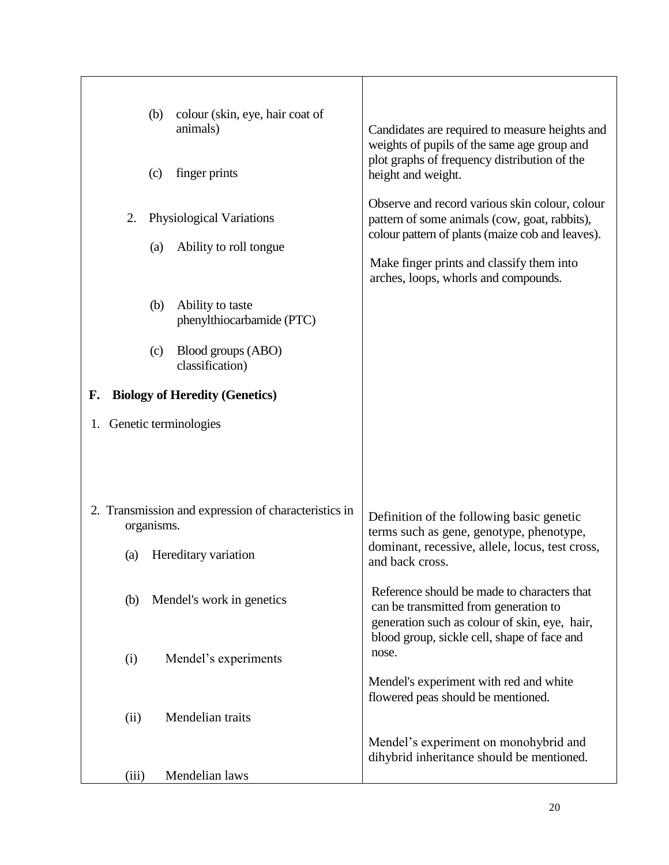|     | (b)<br>(c) | colour (skin, eye, hair coat of<br>animals)<br>finger prints | Candidates are required to measure heights and<br>weights of pupils of the same age group and<br>plot graphs of frequency distribution of the<br>height and weight.<br>Observe and record various skin colour, colour |
|-----|------------|--------------------------------------------------------------|-----------------------------------------------------------------------------------------------------------------------------------------------------------------------------------------------------------------------|
| 2.  |            | Physiological Variations                                     | pattern of some animals (cow, goat, rabbits),<br>colour pattern of plants (maize cob and leaves).                                                                                                                     |
|     | (a)        | Ability to roll tongue                                       | Make finger prints and classify them into<br>arches, loops, whorls and compounds.                                                                                                                                     |
|     | (b)        | Ability to taste<br>phenylthiocarbamide (PTC)                |                                                                                                                                                                                                                       |
|     | (c)        | Blood groups (ABO)<br>classification)                        |                                                                                                                                                                                                                       |
| F.  |            | <b>Biology of Heredity (Genetics)</b>                        |                                                                                                                                                                                                                       |
|     |            | 1. Genetic terminologies                                     |                                                                                                                                                                                                                       |
|     |            |                                                              |                                                                                                                                                                                                                       |
|     | organisms. | 2. Transmission and expression of characteristics in         | Definition of the following basic genetic<br>terms such as gene, genotype, phenotype,                                                                                                                                 |
| (a) |            | Hereditary variation                                         | dominant, recessive, allele, locus, test cross,<br>and back cross.                                                                                                                                                    |
|     | (b)        | Mendel's work in genetics                                    | Reference should be made to characters that<br>can be transmitted from generation to<br>generation such as colour of skin, eye, hair,<br>blood group, sickle cell, shape of face and                                  |
| (i) |            | Mendel's experiments                                         | nose.                                                                                                                                                                                                                 |
|     |            |                                                              | Mendel's experiment with red and white<br>flowered peas should be mentioned.                                                                                                                                          |
|     | (ii)       | Mendelian traits                                             |                                                                                                                                                                                                                       |
|     |            |                                                              | Mendel's experiment on monohybrid and<br>dihybrid inheritance should be mentioned.                                                                                                                                    |
|     | (iii)      | Mendelian laws                                               |                                                                                                                                                                                                                       |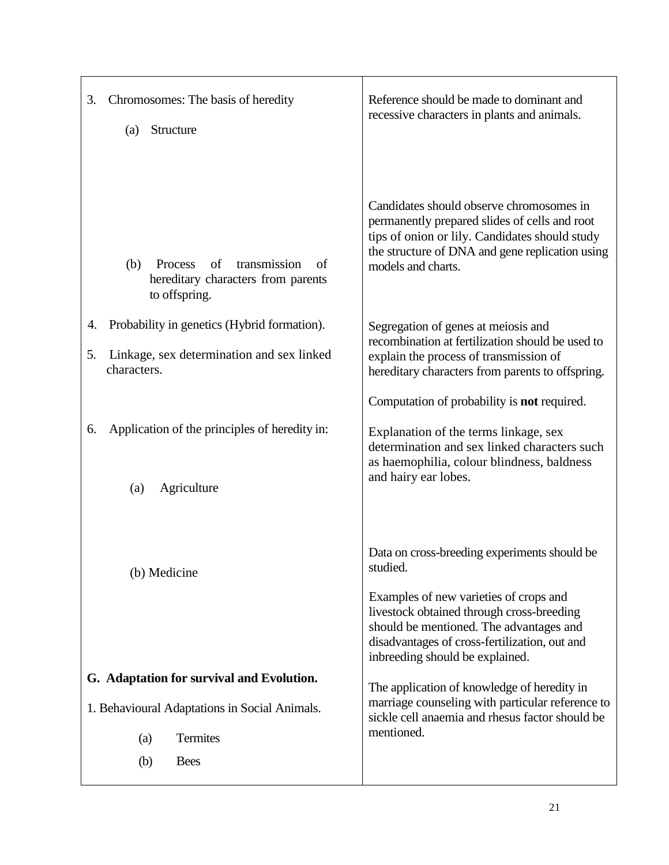| Chromosomes: The basis of heredity<br>3.<br>Structure<br>(a)                                                                        | Reference should be made to dominant and<br>recessive characters in plants and animals.                                                                                                                                                                                        |
|-------------------------------------------------------------------------------------------------------------------------------------|--------------------------------------------------------------------------------------------------------------------------------------------------------------------------------------------------------------------------------------------------------------------------------|
| transmission<br>(b)<br>Process<br>of<br>of<br>hereditary characters from parents<br>to offspring.                                   | Candidates should observe chromosomes in<br>permanently prepared slides of cells and root<br>tips of onion or lily. Candidates should study<br>the structure of DNA and gene replication using<br>models and charts.                                                           |
| Probability in genetics (Hybrid formation).<br>4.<br>Linkage, sex determination and sex linked<br>5.<br>characters.                 | Segregation of genes at meiosis and<br>recombination at fertilization should be used to<br>explain the process of transmission of<br>hereditary characters from parents to offspring.                                                                                          |
| Application of the principles of heredity in:<br>6.<br>Agriculture<br>(a)                                                           | Computation of probability is <b>not</b> required.<br>Explanation of the terms linkage, sex<br>determination and sex linked characters such<br>as haemophilia, colour blindness, baldness<br>and hairy ear lobes.                                                              |
| (b) Medicine                                                                                                                        | Data on cross-breeding experiments should be<br>studied.<br>Examples of new varieties of crops and<br>livestock obtained through cross-breeding<br>should be mentioned. The advantages and<br>disadvantages of cross-fertilization, out and<br>inbreeding should be explained. |
| G. Adaptation for survival and Evolution.<br>1. Behavioural Adaptations in Social Animals.<br>Termites<br>(a)<br><b>Bees</b><br>(b) | The application of knowledge of heredity in<br>marriage counseling with particular reference to<br>sickle cell anaemia and rhesus factor should be<br>mentioned.                                                                                                               |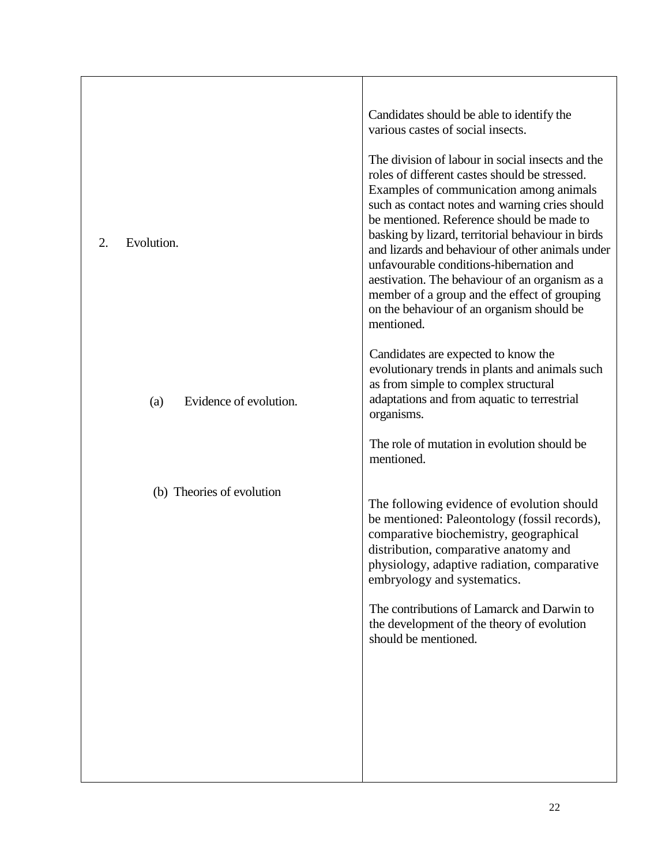|                               | Candidates should be able to identify the<br>various castes of social insects.                                                                                                                                                                                                                                                                                                                                                                                                                                                                               |
|-------------------------------|--------------------------------------------------------------------------------------------------------------------------------------------------------------------------------------------------------------------------------------------------------------------------------------------------------------------------------------------------------------------------------------------------------------------------------------------------------------------------------------------------------------------------------------------------------------|
| 2.<br>Evolution.              | The division of labour in social insects and the<br>roles of different castes should be stressed.<br>Examples of communication among animals<br>such as contact notes and warning cries should<br>be mentioned. Reference should be made to<br>basking by lizard, territorial behaviour in birds<br>and lizards and behaviour of other animals under<br>unfavourable conditions-hibernation and<br>aestivation. The behaviour of an organism as a<br>member of a group and the effect of grouping<br>on the behaviour of an organism should be<br>mentioned. |
| Evidence of evolution.<br>(a) | Candidates are expected to know the<br>evolutionary trends in plants and animals such<br>as from simple to complex structural<br>adaptations and from aquatic to terrestrial<br>organisms.                                                                                                                                                                                                                                                                                                                                                                   |
|                               | The role of mutation in evolution should be<br>mentioned.                                                                                                                                                                                                                                                                                                                                                                                                                                                                                                    |
| (b) Theories of evolution     | The following evidence of evolution should<br>be mentioned: Paleontology (fossil records),<br>comparative biochemistry, geographical<br>distribution, comparative anatomy and<br>physiology, adaptive radiation, comparative<br>embryology and systematics.                                                                                                                                                                                                                                                                                                  |
|                               | The contributions of Lamarck and Darwin to<br>the development of the theory of evolution<br>should be mentioned.                                                                                                                                                                                                                                                                                                                                                                                                                                             |
|                               |                                                                                                                                                                                                                                                                                                                                                                                                                                                                                                                                                              |
|                               |                                                                                                                                                                                                                                                                                                                                                                                                                                                                                                                                                              |
|                               |                                                                                                                                                                                                                                                                                                                                                                                                                                                                                                                                                              |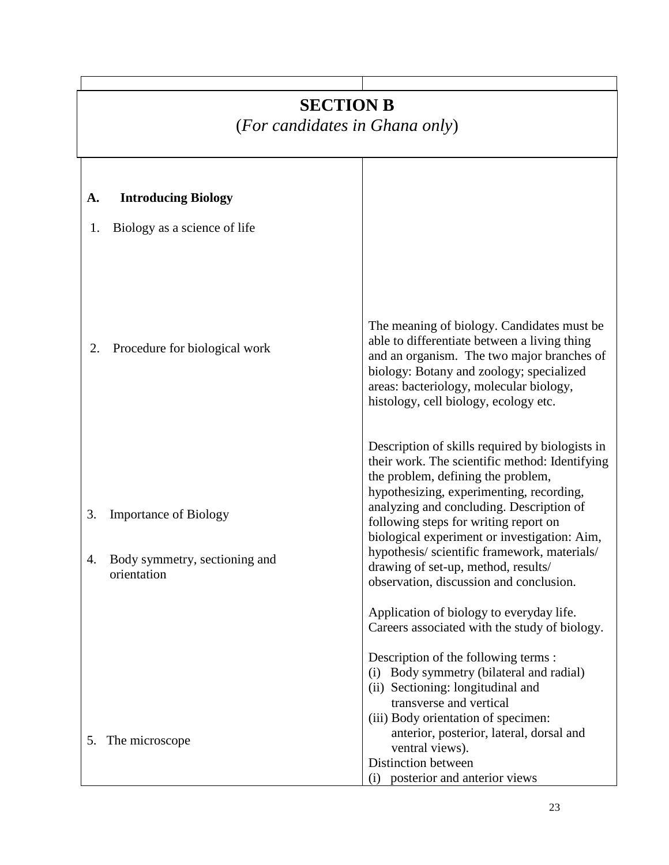# **SECTION B**

(*For candidates in Ghana only*)

| A.       | <b>Introducing Biology</b>                                                   |                                                                                                                                                                                                                                                                                                                                                                                                                                                           |
|----------|------------------------------------------------------------------------------|-----------------------------------------------------------------------------------------------------------------------------------------------------------------------------------------------------------------------------------------------------------------------------------------------------------------------------------------------------------------------------------------------------------------------------------------------------------|
|          |                                                                              |                                                                                                                                                                                                                                                                                                                                                                                                                                                           |
| 1.       | Biology as a science of life                                                 |                                                                                                                                                                                                                                                                                                                                                                                                                                                           |
| 2.       | Procedure for biological work                                                | The meaning of biology. Candidates must be.<br>able to differentiate between a living thing<br>and an organism. The two major branches of<br>biology: Botany and zoology; specialized<br>areas: bacteriology, molecular biology,<br>histology, cell biology, ecology etc.                                                                                                                                                                                 |
| 3.<br>4. | <b>Importance of Biology</b><br>Body symmetry, sectioning and<br>orientation | Description of skills required by biologists in<br>their work. The scientific method: Identifying<br>the problem, defining the problem,<br>hypothesizing, experimenting, recording,<br>analyzing and concluding. Description of<br>following steps for writing report on<br>biological experiment or investigation: Aim,<br>hypothesis/scientific framework, materials/<br>drawing of set-up, method, results/<br>observation, discussion and conclusion. |
|          |                                                                              | Application of biology to everyday life.<br>Careers associated with the study of biology.                                                                                                                                                                                                                                                                                                                                                                 |
|          |                                                                              | Description of the following terms :<br>(i) Body symmetry (bilateral and radial)<br>(ii) Sectioning: longitudinal and<br>transverse and vertical<br>(iii) Body orientation of specimen:                                                                                                                                                                                                                                                                   |
|          | 5. The microscope                                                            | anterior, posterior, lateral, dorsal and<br>ventral views).<br>Distinction between<br>posterior and anterior views<br>(i)                                                                                                                                                                                                                                                                                                                                 |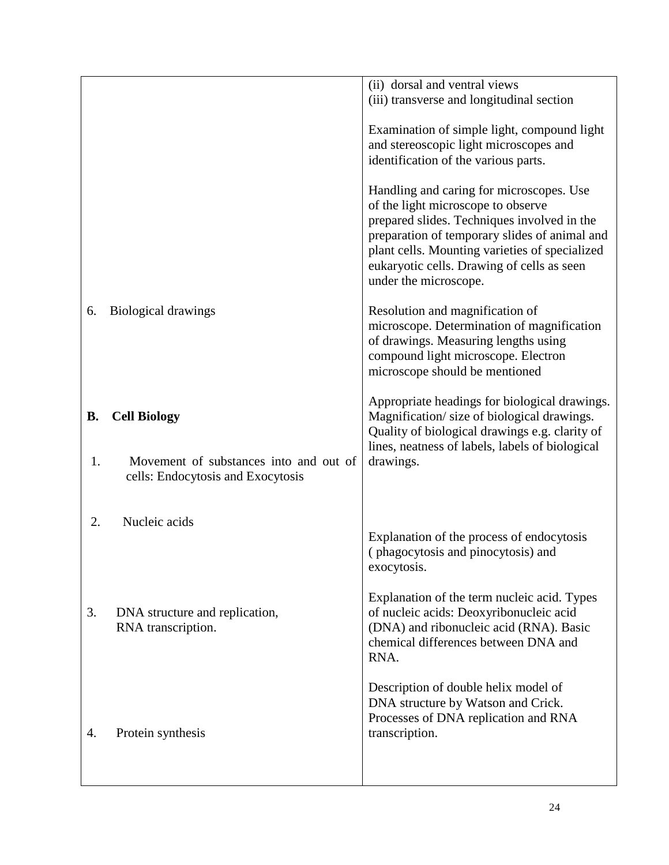|           |                                                                             | (ii) dorsal and ventral views                                                                                                                                                                                                                                                                           |
|-----------|-----------------------------------------------------------------------------|---------------------------------------------------------------------------------------------------------------------------------------------------------------------------------------------------------------------------------------------------------------------------------------------------------|
|           |                                                                             | (iii) transverse and longitudinal section                                                                                                                                                                                                                                                               |
|           |                                                                             | Examination of simple light, compound light<br>and stereoscopic light microscopes and<br>identification of the various parts.                                                                                                                                                                           |
|           |                                                                             | Handling and caring for microscopes. Use<br>of the light microscope to observe<br>prepared slides. Techniques involved in the<br>preparation of temporary slides of animal and<br>plant cells. Mounting varieties of specialized<br>eukaryotic cells. Drawing of cells as seen<br>under the microscope. |
| 6.        | Biological drawings                                                         | Resolution and magnification of<br>microscope. Determination of magnification<br>of drawings. Measuring lengths using<br>compound light microscope. Electron<br>microscope should be mentioned                                                                                                          |
| <b>B.</b> | <b>Cell Biology</b>                                                         | Appropriate headings for biological drawings.<br>Magnification/size of biological drawings.<br>Quality of biological drawings e.g. clarity of                                                                                                                                                           |
| 1.        | Movement of substances into and out of<br>cells: Endocytosis and Exocytosis | lines, neatness of labels, labels of biological<br>drawings.                                                                                                                                                                                                                                            |
| 2.        | Nucleic acids                                                               |                                                                                                                                                                                                                                                                                                         |
|           |                                                                             | Explanation of the process of endocytosis<br>(phagocytosis and pinocytosis) and<br>exocytosis.                                                                                                                                                                                                          |
| 3.        | DNA structure and replication,<br>RNA transcription.                        | Explanation of the term nucleic acid. Types<br>of nucleic acids: Deoxyribonucleic acid<br>(DNA) and ribonucleic acid (RNA). Basic<br>chemical differences between DNA and<br>RNA.                                                                                                                       |
| 4.        | Protein synthesis                                                           | Description of double helix model of<br>DNA structure by Watson and Crick.<br>Processes of DNA replication and RNA<br>transcription.                                                                                                                                                                    |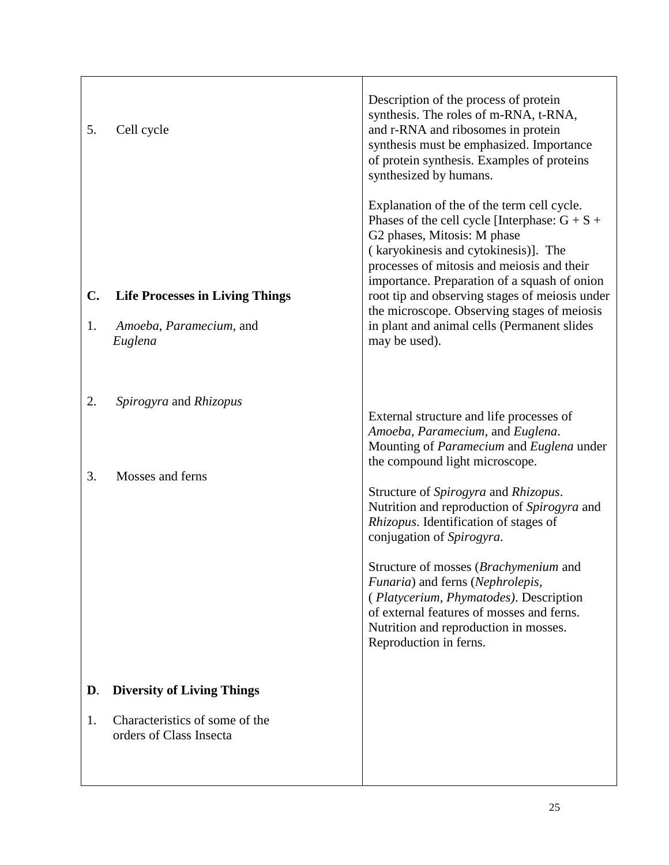| 5.<br>$\mathbf{C}$ .<br>1. | Cell cycle<br><b>Life Processes in Living Things</b><br>Amoeba, Paramecium, and<br>Euglena     | Description of the process of protein<br>synthesis. The roles of m-RNA, t-RNA,<br>and r-RNA and ribosomes in protein<br>synthesis must be emphasized. Importance<br>of protein synthesis. Examples of proteins<br>synthesized by humans.<br>Explanation of the of the term cell cycle.<br>Phases of the cell cycle [Interphase: $G + S +$<br>G2 phases, Mitosis: M phase<br>(karyokinesis and cytokinesis)]. The<br>processes of mitosis and meiosis and their<br>importance. Preparation of a squash of onion<br>root tip and observing stages of meiosis under<br>the microscope. Observing stages of meiosis<br>in plant and animal cells (Permanent slides<br>may be used). |
|----------------------------|------------------------------------------------------------------------------------------------|---------------------------------------------------------------------------------------------------------------------------------------------------------------------------------------------------------------------------------------------------------------------------------------------------------------------------------------------------------------------------------------------------------------------------------------------------------------------------------------------------------------------------------------------------------------------------------------------------------------------------------------------------------------------------------|
| 2.<br>3.                   | Spirogyra and Rhizopus<br>Mosses and ferns                                                     | External structure and life processes of<br>Amoeba, Paramecium, and Euglena.<br>Mounting of Paramecium and Euglena under<br>the compound light microscope.<br>Structure of Spirogyra and Rhizopus.<br>Nutrition and reproduction of Spirogyra and<br>Rhizopus. Identification of stages of<br>conjugation of Spirogyra.<br>Structure of mosses (Brachymenium and<br>Funaria) and ferns (Nephrolepis,<br>(Platycerium, Phymatodes). Description<br>of external features of mosses and ferns.<br>Nutrition and reproduction in mosses.<br>Reproduction in ferns.                                                                                                                  |
| D.<br>1.                   | <b>Diversity of Living Things</b><br>Characteristics of some of the<br>orders of Class Insecta |                                                                                                                                                                                                                                                                                                                                                                                                                                                                                                                                                                                                                                                                                 |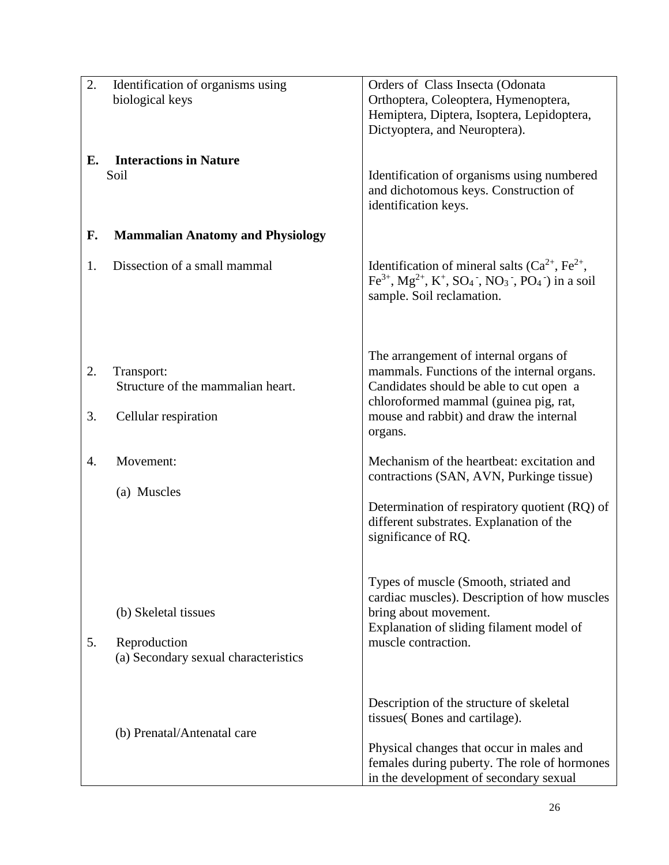| 2. | Identification of organisms using<br>biological keys | Orders of Class Insecta (Odonata<br>Orthoptera, Coleoptera, Hymenoptera,                                                                                                                   |
|----|------------------------------------------------------|--------------------------------------------------------------------------------------------------------------------------------------------------------------------------------------------|
|    |                                                      | Hemiptera, Diptera, Isoptera, Lepidoptera,                                                                                                                                                 |
|    |                                                      | Dictyoptera, and Neuroptera).                                                                                                                                                              |
| Е. | <b>Interactions in Nature</b>                        |                                                                                                                                                                                            |
|    | Soil                                                 | Identification of organisms using numbered<br>and dichotomous keys. Construction of                                                                                                        |
|    |                                                      | identification keys.                                                                                                                                                                       |
| F. | <b>Mammalian Anatomy and Physiology</b>              |                                                                                                                                                                                            |
| 1. | Dissection of a small mammal                         | Identification of mineral salts $(Ca^{2+}, Fe^{2+})$ ,                                                                                                                                     |
|    |                                                      | Fe <sup>3+</sup> , Mg <sup>2+</sup> , K <sup>+</sup> , SO <sub>4</sub> <sup>-</sup> , NO <sub>3</sub> <sup>-</sup> , PO <sub>4</sub> <sup>-</sup> ) in a soil<br>sample. Soil reclamation. |
|    |                                                      |                                                                                                                                                                                            |
|    |                                                      | The arrangement of internal organs of                                                                                                                                                      |
| 2. | Transport:                                           | mammals. Functions of the internal organs.                                                                                                                                                 |
|    | Structure of the mammalian heart.                    | Candidates should be able to cut open a<br>chloroformed mammal (guinea pig, rat,                                                                                                           |
| 3. | Cellular respiration                                 | mouse and rabbit) and draw the internal<br>organs.                                                                                                                                         |
|    |                                                      |                                                                                                                                                                                            |
| 4. | Movement:                                            | Mechanism of the heartbeat: excitation and<br>contractions (SAN, AVN, Purkinge tissue)                                                                                                     |
|    | (a) Muscles                                          | Determination of respiratory quotient (RQ) of                                                                                                                                              |
|    |                                                      | different substrates. Explanation of the<br>significance of RQ.                                                                                                                            |
|    |                                                      |                                                                                                                                                                                            |
|    |                                                      | Types of muscle (Smooth, striated and                                                                                                                                                      |
|    | (b) Skeletal tissues                                 | cardiac muscles). Description of how muscles<br>bring about movement.                                                                                                                      |
|    |                                                      | Explanation of sliding filament model of                                                                                                                                                   |
| 5. | Reproduction<br>(a) Secondary sexual characteristics | muscle contraction.                                                                                                                                                                        |
|    |                                                      |                                                                                                                                                                                            |
|    |                                                      | Description of the structure of skeletal                                                                                                                                                   |
|    | (b) Prenatal/Antenatal care                          | tissues (Bones and cartilage).                                                                                                                                                             |
|    |                                                      | Physical changes that occur in males and                                                                                                                                                   |
|    |                                                      | females during puberty. The role of hormones<br>in the development of secondary sexual                                                                                                     |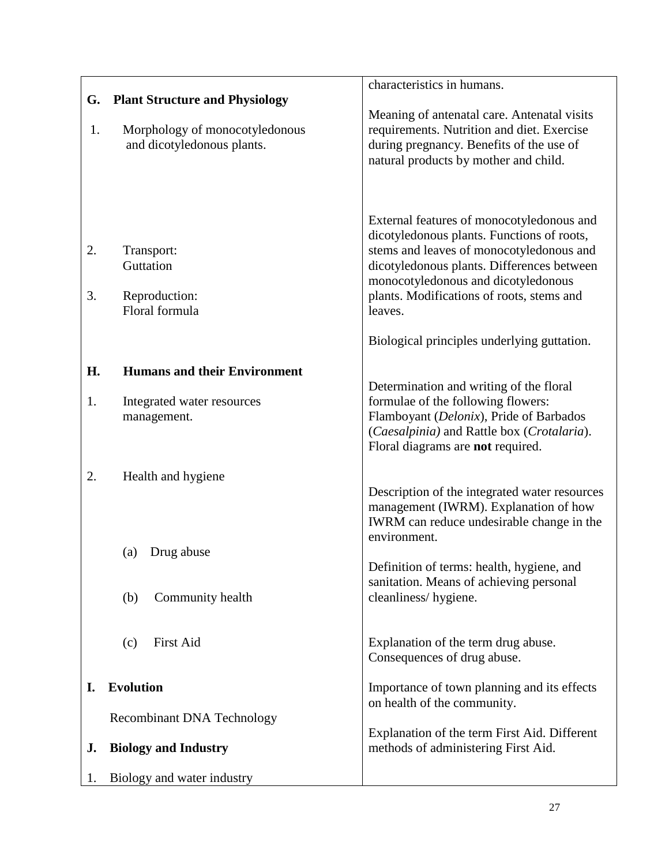|    |                                                              | characteristics in humans.                                                             |
|----|--------------------------------------------------------------|----------------------------------------------------------------------------------------|
| G. | <b>Plant Structure and Physiology</b>                        |                                                                                        |
|    |                                                              | Meaning of antenatal care. Antenatal visits                                            |
| 1. | Morphology of monocotyledonous<br>and dicotyledonous plants. | requirements. Nutrition and diet. Exercise<br>during pregnancy. Benefits of the use of |
|    |                                                              | natural products by mother and child.                                                  |
|    |                                                              |                                                                                        |
|    |                                                              |                                                                                        |
|    |                                                              | External features of monocotyledonous and                                              |
|    |                                                              | dicotyledonous plants. Functions of roots,                                             |
| 2. | Transport:                                                   | stems and leaves of monocotyledonous and                                               |
|    | Guttation                                                    | dicotyledonous plants. Differences between                                             |
| 3. | Reproduction:                                                | monocotyledonous and dicotyledonous<br>plants. Modifications of roots, stems and       |
|    | Floral formula                                               | leaves.                                                                                |
|    |                                                              |                                                                                        |
|    |                                                              | Biological principles underlying guttation.                                            |
| H. | <b>Humans and their Environment</b>                          |                                                                                        |
|    |                                                              | Determination and writing of the floral                                                |
| 1. | Integrated water resources                                   | formulae of the following flowers:<br>Flamboyant (Delonix), Pride of Barbados          |
|    | management.                                                  | (Caesalpinia) and Rattle box (Crotalaria).                                             |
|    |                                                              | Floral diagrams are not required.                                                      |
| 2. |                                                              |                                                                                        |
|    | Health and hygiene                                           | Description of the integrated water resources                                          |
|    |                                                              | management (IWRM). Explanation of how                                                  |
|    |                                                              | IWRM can reduce undesirable change in the                                              |
|    | Drug abuse<br>(a)                                            | environment.                                                                           |
|    |                                                              | Definition of terms: health, hygiene, and                                              |
|    |                                                              | sanitation. Means of achieving personal                                                |
|    | Community health<br>(b)                                      | cleanliness/hygiene.                                                                   |
|    |                                                              |                                                                                        |
|    | <b>First Aid</b><br>(c)                                      | Explanation of the term drug abuse.                                                    |
|    |                                                              | Consequences of drug abuse.                                                            |
| I. | <b>Evolution</b>                                             | Importance of town planning and its effects                                            |
|    |                                                              | on health of the community.                                                            |
|    | <b>Recombinant DNA Technology</b>                            |                                                                                        |
| J. | <b>Biology and Industry</b>                                  | Explanation of the term First Aid. Different<br>methods of administering First Aid.    |
|    |                                                              |                                                                                        |
| 1. | Biology and water industry                                   |                                                                                        |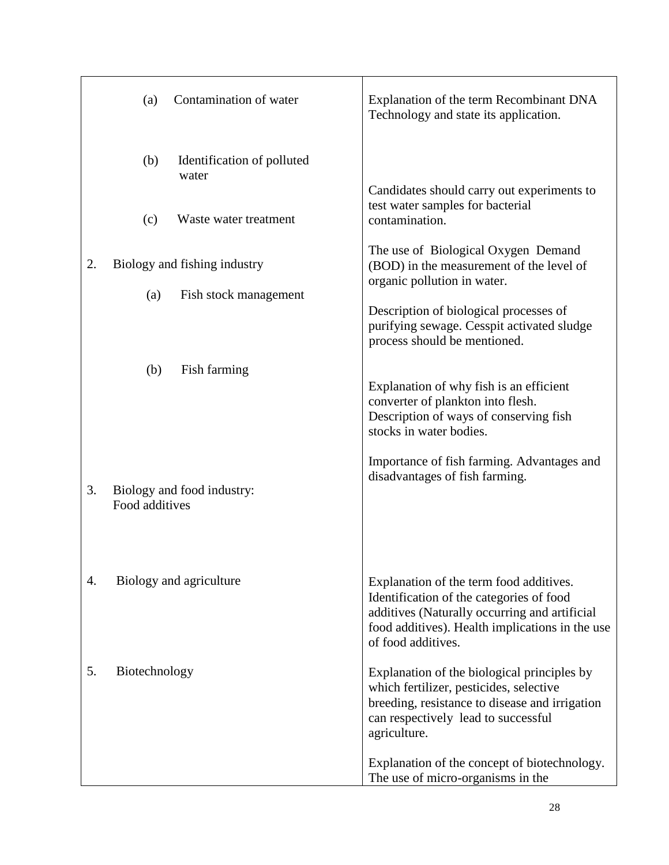|    | Contamination of water<br>(a)                | Explanation of the term Recombinant DNA<br>Technology and state its application.                                                                                                                              |
|----|----------------------------------------------|---------------------------------------------------------------------------------------------------------------------------------------------------------------------------------------------------------------|
|    | (b)<br>Identification of polluted<br>water   |                                                                                                                                                                                                               |
|    | (c)<br>Waste water treatment                 | Candidates should carry out experiments to<br>test water samples for bacterial<br>contamination.                                                                                                              |
| 2. | Biology and fishing industry                 | The use of Biological Oxygen Demand<br>(BOD) in the measurement of the level of<br>organic pollution in water.                                                                                                |
|    | (a)<br>Fish stock management                 | Description of biological processes of<br>purifying sewage. Cesspit activated sludge<br>process should be mentioned.                                                                                          |
|    | Fish farming<br>(b)                          | Explanation of why fish is an efficient<br>converter of plankton into flesh.<br>Description of ways of conserving fish<br>stocks in water bodies.                                                             |
| 3. | Biology and food industry:<br>Food additives | Importance of fish farming. Advantages and<br>disadvantages of fish farming.                                                                                                                                  |
| 4. | Biology and agriculture                      | Explanation of the term food additives.<br>Identification of the categories of food<br>additives (Naturally occurring and artificial<br>food additives). Health implications in the use<br>of food additives. |
| 5. | Biotechnology                                | Explanation of the biological principles by<br>which fertilizer, pesticides, selective<br>breeding, resistance to disease and irrigation<br>can respectively lead to successful<br>agriculture.               |
|    |                                              | Explanation of the concept of biotechnology.<br>The use of micro-organisms in the                                                                                                                             |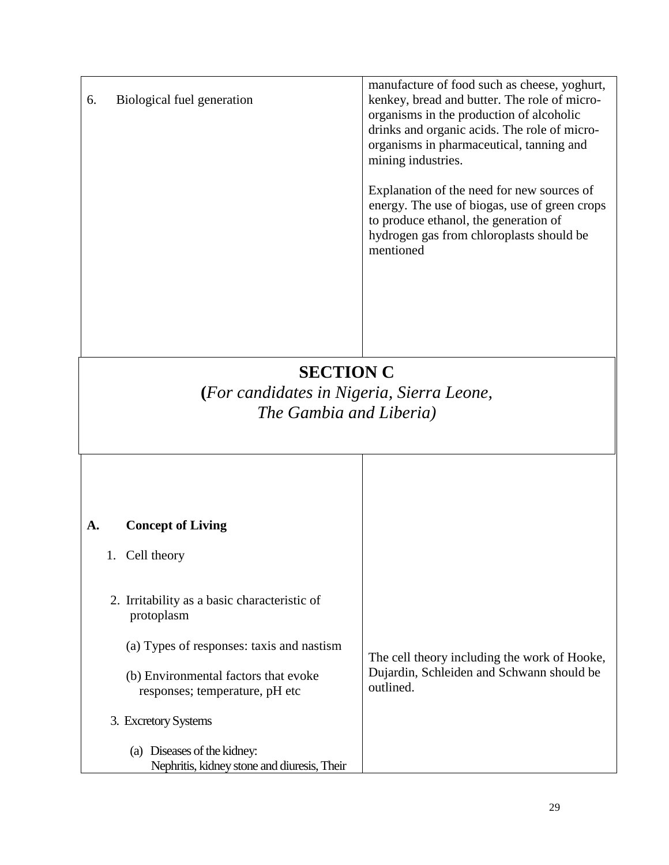| 6. | Biological fuel generation | manufacture of food such as cheese, yoghurt,<br>kenkey, bread and butter. The role of micro-<br>organisms in the production of alcoholic<br>drinks and organic acids. The role of micro-<br>organisms in pharmaceutical, tanning and |
|----|----------------------------|--------------------------------------------------------------------------------------------------------------------------------------------------------------------------------------------------------------------------------------|
|    |                            | mining industries.<br>Explanation of the need for new sources of<br>energy. The use of biogas, use of green crops<br>to produce ethanol, the generation of<br>hydrogen gas from chloroplasts should be<br>mentioned                  |
|    |                            |                                                                                                                                                                                                                                      |

# **SECTION C**

**(***For candidates in Nigeria, Sierra Leone, The Gambia and Liberia)*

| <b>A.</b> | <b>Concept of Living</b>                                                                                                                                                          |                                                                                                        |
|-----------|-----------------------------------------------------------------------------------------------------------------------------------------------------------------------------------|--------------------------------------------------------------------------------------------------------|
| 1.        | Cell theory                                                                                                                                                                       |                                                                                                        |
|           | 2. Irritability as a basic characteristic of<br>protoplasm<br>(a) Types of responses: taxis and nastism<br>(b) Environmental factors that evoke<br>responses; temperature, pH etc | The cell theory including the work of Hooke,<br>Dujardin, Schleiden and Schwann should be<br>outlined. |
|           | 3. Excretory Systems                                                                                                                                                              |                                                                                                        |
|           | (a) Diseases of the kidney:<br>Nephritis, kidney stone and diuresis, Their                                                                                                        |                                                                                                        |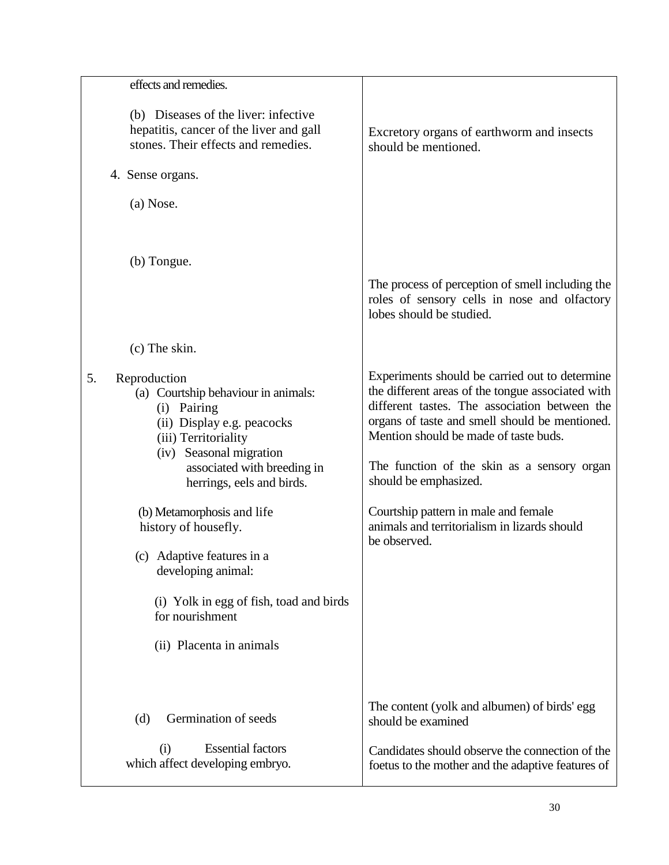| effects and remedies.                                                                                                                                                                                                 |                                                                                                                                                                                                                                                                                                                         |
|-----------------------------------------------------------------------------------------------------------------------------------------------------------------------------------------------------------------------|-------------------------------------------------------------------------------------------------------------------------------------------------------------------------------------------------------------------------------------------------------------------------------------------------------------------------|
| (b) Diseases of the liver: infective<br>hepatitis, cancer of the liver and gall<br>stones. Their effects and remedies.                                                                                                | Excretory organs of earthworm and insects<br>should be mentioned.                                                                                                                                                                                                                                                       |
| 4. Sense organs.                                                                                                                                                                                                      |                                                                                                                                                                                                                                                                                                                         |
| (a) Nose.                                                                                                                                                                                                             |                                                                                                                                                                                                                                                                                                                         |
| (b) Tongue.                                                                                                                                                                                                           |                                                                                                                                                                                                                                                                                                                         |
|                                                                                                                                                                                                                       | The process of perception of smell including the<br>roles of sensory cells in nose and olfactory<br>lobes should be studied.                                                                                                                                                                                            |
| (c) The skin.                                                                                                                                                                                                         |                                                                                                                                                                                                                                                                                                                         |
| Reproduction<br>5.<br>(a) Courtship behaviour in animals:<br>(i) Pairing<br>(ii) Display e.g. peacocks<br>(iii) Territoriality<br>(iv) Seasonal migration<br>associated with breeding in<br>herrings, eels and birds. | Experiments should be carried out to determine<br>the different areas of the tongue associated with<br>different tastes. The association between the<br>organs of taste and smell should be mentioned.<br>Mention should be made of taste buds.<br>The function of the skin as a sensory organ<br>should be emphasized. |
| (b) Metamorphosis and life<br>history of housefly.                                                                                                                                                                    | Courtship pattern in male and female<br>animals and territorialism in lizards should<br>be observed.                                                                                                                                                                                                                    |
| (c) Adaptive features in a<br>developing animal:                                                                                                                                                                      |                                                                                                                                                                                                                                                                                                                         |
| (i) Yolk in egg of fish, toad and birds<br>for nourishment                                                                                                                                                            |                                                                                                                                                                                                                                                                                                                         |
| (ii) Placenta in animals                                                                                                                                                                                              |                                                                                                                                                                                                                                                                                                                         |
|                                                                                                                                                                                                                       |                                                                                                                                                                                                                                                                                                                         |
| Germination of seeds<br>(d)                                                                                                                                                                                           | The content (yolk and albumen) of birds' egg<br>should be examined                                                                                                                                                                                                                                                      |
| <b>Essential factors</b><br>(i)<br>which affect developing embryo.                                                                                                                                                    | Candidates should observe the connection of the<br>foetus to the mother and the adaptive features of                                                                                                                                                                                                                    |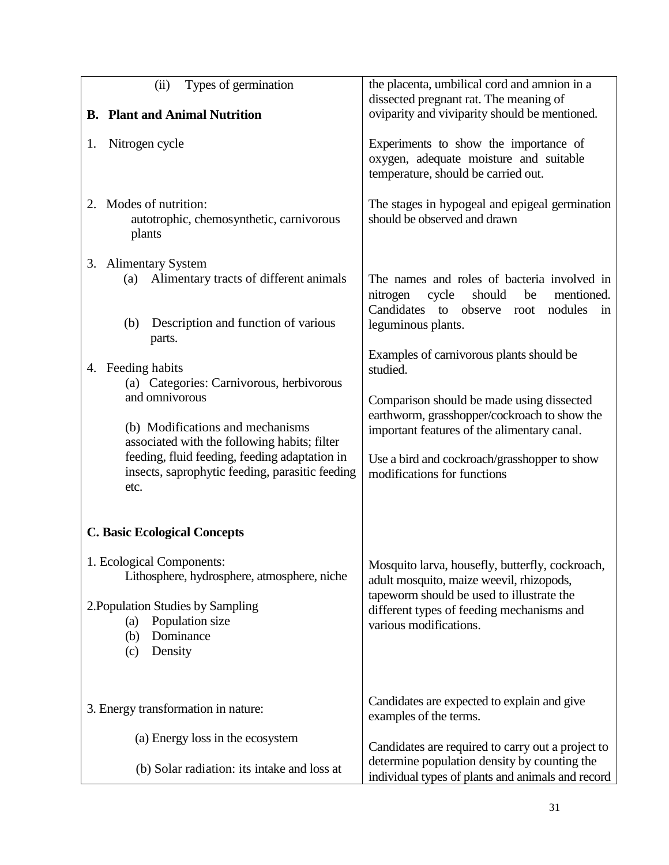| Types of germination<br>(ii)                                                                             | the placenta, umbilical cord and amnion in a<br>dissected pregnant rat. The meaning of<br>oviparity and viviparity should be mentioned.       |
|----------------------------------------------------------------------------------------------------------|-----------------------------------------------------------------------------------------------------------------------------------------------|
| <b>B.</b> Plant and Animal Nutrition                                                                     |                                                                                                                                               |
| Nitrogen cycle<br>1.                                                                                     | Experiments to show the importance of<br>oxygen, adequate moisture and suitable<br>temperature, should be carried out.                        |
| 2. Modes of nutrition:<br>autotrophic, chemosynthetic, carnivorous<br>plants                             | The stages in hypogeal and epigeal germination<br>should be observed and drawn                                                                |
| 3. Alimentary System<br>Alimentary tracts of different animals<br>(a)                                    | The names and roles of bacteria involved in<br>nitrogen<br>cycle<br>should<br>be<br>mentioned.<br>Candidates to observe root<br>nodules<br>in |
| Description and function of various<br>(b)<br>parts.                                                     | leguminous plants.                                                                                                                            |
| 4. Feeding habits<br>(a) Categories: Carnivorous, herbivorous                                            | Examples of carnivorous plants should be<br>studied.                                                                                          |
| and omnivorous                                                                                           | Comparison should be made using dissected                                                                                                     |
| (b) Modifications and mechanisms<br>associated with the following habits; filter                         | earthworm, grasshopper/cockroach to show the<br>important features of the alimentary canal.                                                   |
| feeding, fluid feeding, feeding adaptation in<br>insects, saprophytic feeding, parasitic feeding<br>etc. | Use a bird and cockroach/grasshopper to show<br>modifications for functions                                                                   |
| <b>C. Basic Ecological Concepts</b>                                                                      |                                                                                                                                               |
| 1. Ecological Components:<br>Lithosphere, hydrosphere, atmosphere, niche                                 | Mosquito larva, housefly, butterfly, cockroach,<br>adult mosquito, maize weevil, rhizopods,                                                   |
| 2. Population Studies by Sampling<br>Population size<br>(a)<br>Dominance<br>(b)<br>Density<br>(c)        | tapeworm should be used to illustrate the<br>different types of feeding mechanisms and<br>various modifications.                              |
| 3. Energy transformation in nature:                                                                      | Candidates are expected to explain and give<br>examples of the terms.                                                                         |
| (a) Energy loss in the ecosystem                                                                         | Candidates are required to carry out a project to                                                                                             |
| (b) Solar radiation: its intake and loss at                                                              | determine population density by counting the<br>individual types of plants and animals and record                                             |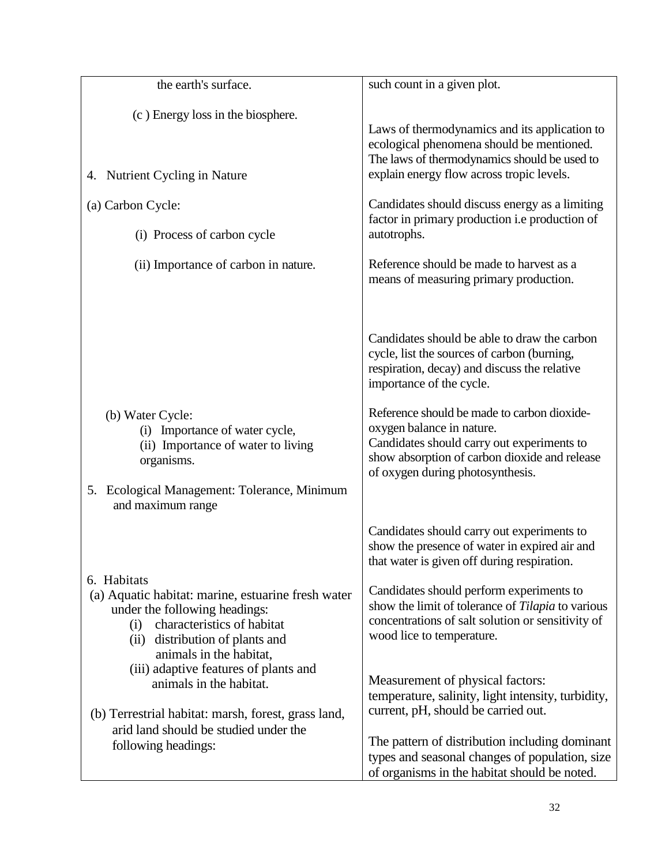| the earth's surface.                                                                                                                                                                                     | such count in a given plot.                                                                                                                                                                                 |
|----------------------------------------------------------------------------------------------------------------------------------------------------------------------------------------------------------|-------------------------------------------------------------------------------------------------------------------------------------------------------------------------------------------------------------|
| (c) Energy loss in the biosphere.<br>4. Nutrient Cycling in Nature                                                                                                                                       | Laws of thermodynamics and its application to<br>ecological phenomena should be mentioned.<br>The laws of thermodynamics should be used to<br>explain energy flow across tropic levels.                     |
| (a) Carbon Cycle:<br>(i) Process of carbon cycle                                                                                                                                                         | Candidates should discuss energy as a limiting<br>factor in primary production i.e production of<br>autotrophs.                                                                                             |
| (ii) Importance of carbon in nature.                                                                                                                                                                     | Reference should be made to harvest as a<br>means of measuring primary production.                                                                                                                          |
|                                                                                                                                                                                                          | Candidates should be able to draw the carbon<br>cycle, list the sources of carbon (burning,<br>respiration, decay) and discuss the relative<br>importance of the cycle.                                     |
| (b) Water Cycle:<br>(i) Importance of water cycle,<br>(ii) Importance of water to living<br>organisms.<br>5. Ecological Management: Tolerance, Minimum<br>and maximum range                              | Reference should be made to carbon dioxide-<br>oxygen balance in nature.<br>Candidates should carry out experiments to<br>show absorption of carbon dioxide and release<br>of oxygen during photosynthesis. |
|                                                                                                                                                                                                          | Candidates should carry out experiments to<br>show the presence of water in expired air and<br>that water is given off during respiration.                                                                  |
| 6. Habitats<br>(a) Aquatic habitat: marine, estuarine fresh water<br>under the following headings:<br>characteristics of habitat<br>(i)<br>distribution of plants and<br>(ii)<br>animals in the habitat, | Candidates should perform experiments to<br>show the limit of tolerance of Tilapia to various<br>concentrations of salt solution or sensitivity of<br>wood lice to temperature.                             |
| (iii) adaptive features of plants and<br>animals in the habitat.<br>(b) Terrestrial habitat: marsh, forest, grass land,                                                                                  | Measurement of physical factors:<br>temperature, salinity, light intensity, turbidity,<br>current, pH, should be carried out.                                                                               |
| arid land should be studied under the<br>following headings:                                                                                                                                             | The pattern of distribution including dominant<br>types and seasonal changes of population, size<br>of organisms in the habitat should be noted.                                                            |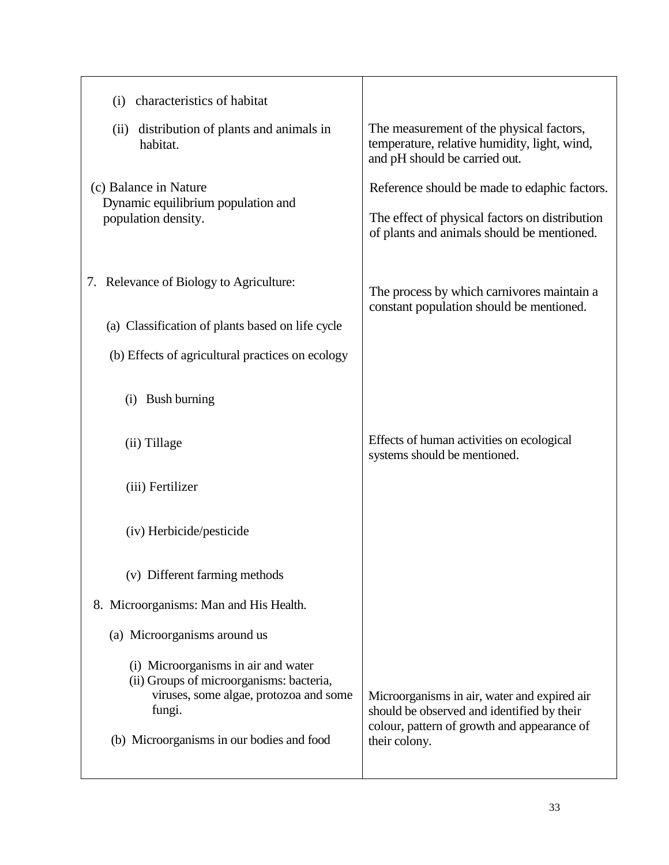| characteristics of habitat<br>(i)                                                                                                   |                                                                                                                                           |
|-------------------------------------------------------------------------------------------------------------------------------------|-------------------------------------------------------------------------------------------------------------------------------------------|
| (ii) distribution of plants and animals in<br>habitat.                                                                              | The measurement of the physical factors,<br>temperature, relative humidity, light, wind,<br>and pH should be carried out.                 |
| (c) Balance in Nature<br>Dynamic equilibrium population and                                                                         | Reference should be made to edaphic factors.                                                                                              |
| population density.                                                                                                                 | The effect of physical factors on distribution<br>of plants and animals should be mentioned.                                              |
| 7. Relevance of Biology to Agriculture:                                                                                             | The process by which carnivores maintain a                                                                                                |
| (a) Classification of plants based on life cycle                                                                                    | constant population should be mentioned.                                                                                                  |
| (b) Effects of agricultural practices on ecology                                                                                    |                                                                                                                                           |
| <b>Bush burning</b><br>(i)                                                                                                          |                                                                                                                                           |
| (ii) Tillage                                                                                                                        | Effects of human activities on ecological<br>systems should be mentioned.                                                                 |
| (iii) Fertilizer                                                                                                                    |                                                                                                                                           |
| (iv) Herbicide/pesticide                                                                                                            |                                                                                                                                           |
| (v) Different farming methods                                                                                                       |                                                                                                                                           |
| 8. Microorganisms: Man and His Health.                                                                                              |                                                                                                                                           |
| (a) Microorganisms around us                                                                                                        |                                                                                                                                           |
| (i) Microorganisms in air and water<br>(ii) Groups of microorganisms: bacteria,<br>viruses, some algae, protozoa and some<br>fungi. | Microorganisms in air, water and expired air<br>should be observed and identified by their<br>colour, pattern of growth and appearance of |
| (b) Microorganisms in our bodies and food                                                                                           | their colony.                                                                                                                             |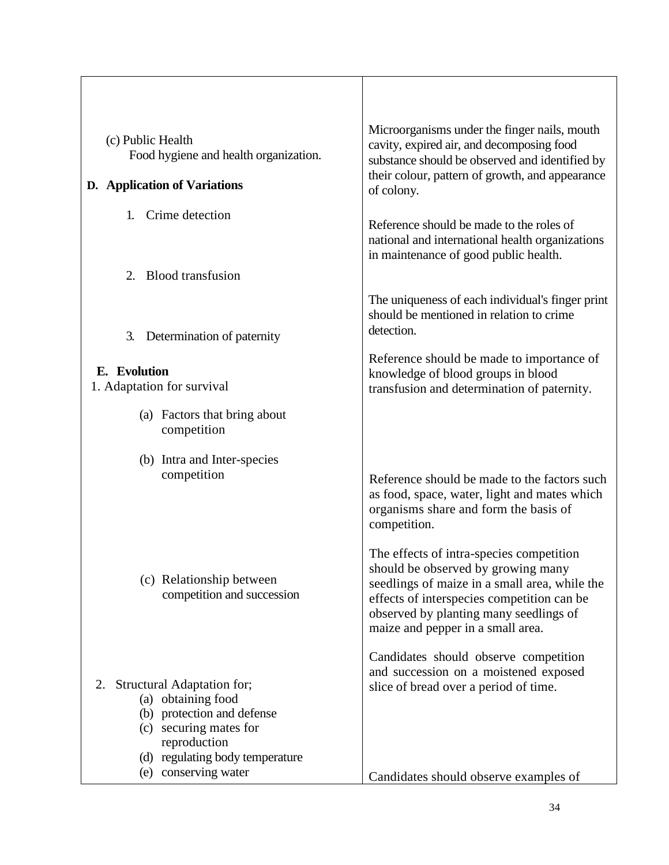| (c) Public Health<br>Food hygiene and health organization.                                                                                                                                | Microorganisms under the finger nails, mouth<br>cavity, expired air, and decomposing food<br>substance should be observed and identified by                                                                                                                  |
|-------------------------------------------------------------------------------------------------------------------------------------------------------------------------------------------|--------------------------------------------------------------------------------------------------------------------------------------------------------------------------------------------------------------------------------------------------------------|
| D. Application of Variations                                                                                                                                                              | their colour, pattern of growth, and appearance<br>of colony.                                                                                                                                                                                                |
| Crime detection<br>1.                                                                                                                                                                     | Reference should be made to the roles of<br>national and international health organizations<br>in maintenance of good public health.                                                                                                                         |
| <b>Blood transfusion</b><br>2.                                                                                                                                                            |                                                                                                                                                                                                                                                              |
| Determination of paternity<br>3.                                                                                                                                                          | The uniqueness of each individual's finger print<br>should be mentioned in relation to crime<br>detection.                                                                                                                                                   |
| E. Evolution<br>1. Adaptation for survival                                                                                                                                                | Reference should be made to importance of<br>knowledge of blood groups in blood<br>transfusion and determination of paternity.                                                                                                                               |
| (a) Factors that bring about<br>competition                                                                                                                                               |                                                                                                                                                                                                                                                              |
| (b) Intra and Inter-species<br>competition                                                                                                                                                | Reference should be made to the factors such<br>as food, space, water, light and mates which<br>organisms share and form the basis of<br>competition.                                                                                                        |
| (c) Relationship between<br>competition and succession                                                                                                                                    | The effects of intra-species competition<br>should be observed by growing many<br>seedlings of maize in a small area, while the<br>effects of interspecies competition can be<br>observed by planting many seedlings of<br>maize and pepper in a small area. |
| Structural Adaptation for;<br>2.<br>(a) obtaining food<br>(b) protection and defense<br>(c) securing mates for<br>reproduction<br>(d) regulating body temperature<br>(e) conserving water | Candidates should observe competition<br>and succession on a moistened exposed<br>slice of bread over a period of time.                                                                                                                                      |
|                                                                                                                                                                                           | Candidates should observe examples of                                                                                                                                                                                                                        |